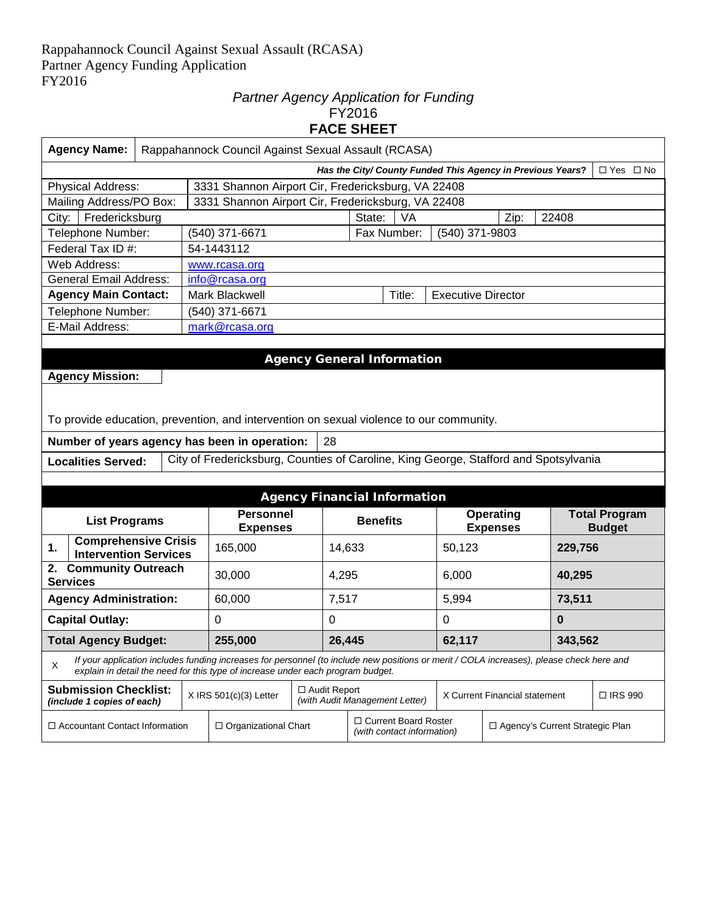#### *Partner Agency Application for Funding*  FY2016 **FACE SHEET**

| <b>Agency Name:</b><br>Rappahannock Council Against Sexual Assault (RCASA)                                                                                                                                                       |                                                                          |        |                                                                                      |                     |        |                                                      |                           |                                                 |         |                      |  |
|----------------------------------------------------------------------------------------------------------------------------------------------------------------------------------------------------------------------------------|--------------------------------------------------------------------------|--------|--------------------------------------------------------------------------------------|---------------------|--------|------------------------------------------------------|---------------------------|-------------------------------------------------|---------|----------------------|--|
|                                                                                                                                                                                                                                  | Has the City/ County Funded This Agency in Previous Years?<br>□ Yes □ No |        |                                                                                      |                     |        |                                                      |                           |                                                 |         |                      |  |
| Physical Address:                                                                                                                                                                                                                |                                                                          |        | 3331 Shannon Airport Cir, Fredericksburg, VA 22408                                   |                     |        |                                                      |                           |                                                 |         |                      |  |
| Mailing Address/PO Box:                                                                                                                                                                                                          |                                                                          |        | 3331 Shannon Airport Cir, Fredericksburg, VA 22408                                   |                     |        |                                                      |                           |                                                 |         |                      |  |
| Fredericksburg<br>City:                                                                                                                                                                                                          |                                                                          |        |                                                                                      |                     |        | State:<br>VA                                         |                           | Zip:                                            | 22408   |                      |  |
| Telephone Number:                                                                                                                                                                                                                |                                                                          |        | (540) 371-6671                                                                       |                     |        | Fax Number:                                          | (540) 371-9803            |                                                 |         |                      |  |
| Federal Tax ID #:                                                                                                                                                                                                                |                                                                          |        | 54-1443112                                                                           |                     |        |                                                      |                           |                                                 |         |                      |  |
| Web Address:                                                                                                                                                                                                                     |                                                                          |        | www.rcasa.org                                                                        |                     |        |                                                      |                           |                                                 |         |                      |  |
| <b>General Email Address:</b>                                                                                                                                                                                                    |                                                                          |        | info@rcasa.org                                                                       |                     |        |                                                      |                           |                                                 |         |                      |  |
| <b>Agency Main Contact:</b>                                                                                                                                                                                                      |                                                                          |        | Mark Blackwell                                                                       |                     |        | Title:                                               | <b>Executive Director</b> |                                                 |         |                      |  |
| Telephone Number:                                                                                                                                                                                                                |                                                                          |        | (540) 371-6671                                                                       |                     |        |                                                      |                           |                                                 |         |                      |  |
| E-Mail Address:                                                                                                                                                                                                                  |                                                                          |        | mark@rcasa.org                                                                       |                     |        |                                                      |                           |                                                 |         |                      |  |
|                                                                                                                                                                                                                                  |                                                                          |        |                                                                                      |                     |        |                                                      |                           |                                                 |         |                      |  |
|                                                                                                                                                                                                                                  |                                                                          |        |                                                                                      |                     |        | <b>Agency General Information</b>                    |                           |                                                 |         |                      |  |
| <b>Agency Mission:</b>                                                                                                                                                                                                           |                                                                          |        |                                                                                      |                     |        |                                                      |                           |                                                 |         |                      |  |
|                                                                                                                                                                                                                                  |                                                                          |        |                                                                                      |                     |        |                                                      |                           |                                                 |         |                      |  |
|                                                                                                                                                                                                                                  |                                                                          |        |                                                                                      |                     |        |                                                      |                           |                                                 |         |                      |  |
| To provide education, prevention, and intervention on sexual violence to our community.                                                                                                                                          |                                                                          |        |                                                                                      |                     |        |                                                      |                           |                                                 |         |                      |  |
| Number of years agency has been in operation:                                                                                                                                                                                    |                                                                          |        |                                                                                      | 28                  |        |                                                      |                           |                                                 |         |                      |  |
| <b>Localities Served:</b>                                                                                                                                                                                                        |                                                                          |        | City of Fredericksburg, Counties of Caroline, King George, Stafford and Spotsylvania |                     |        |                                                      |                           |                                                 |         |                      |  |
|                                                                                                                                                                                                                                  |                                                                          |        |                                                                                      |                     |        |                                                      |                           |                                                 |         |                      |  |
|                                                                                                                                                                                                                                  |                                                                          |        |                                                                                      |                     |        | <b>Agency Financial Information</b>                  |                           |                                                 |         |                      |  |
|                                                                                                                                                                                                                                  |                                                                          |        | <b>Personnel</b>                                                                     |                     |        |                                                      |                           | <b>Operating</b>                                |         | <b>Total Program</b> |  |
| <b>List Programs</b>                                                                                                                                                                                                             |                                                                          |        | <b>Expenses</b>                                                                      |                     |        | <b>Benefits</b>                                      |                           | <b>Expenses</b>                                 |         | <b>Budget</b>        |  |
| <b>Comprehensive Crisis</b><br>1.                                                                                                                                                                                                |                                                                          |        | 165,000                                                                              |                     | 14,633 |                                                      | 50,123                    |                                                 | 229,756 |                      |  |
| <b>Intervention Services</b>                                                                                                                                                                                                     |                                                                          |        |                                                                                      |                     |        |                                                      |                           |                                                 |         |                      |  |
| 2. Community Outreach<br><b>Services</b>                                                                                                                                                                                         |                                                                          |        | 30,000                                                                               |                     | 4,295  |                                                      | 6,000                     |                                                 |         | 40,295               |  |
| <b>Agency Administration:</b>                                                                                                                                                                                                    |                                                                          |        | 60,000                                                                               |                     | 7,517  |                                                      | 5,994                     |                                                 |         | 73,511               |  |
| <b>Capital Outlay:</b><br>0<br>0                                                                                                                                                                                                 |                                                                          | 0      | $\mathbf 0$                                                                          |                     |        |                                                      |                           |                                                 |         |                      |  |
| <b>Total Agency Budget:</b><br>255,000                                                                                                                                                                                           |                                                                          | 26,445 |                                                                                      | 62,117              |        | 343,562                                              |                           |                                                 |         |                      |  |
| If your application includes funding increases for personnel (to include new positions or merit / COLA increases), please check here and<br>X<br>explain in detail the need for this type of increase under each program budget. |                                                                          |        |                                                                                      |                     |        |                                                      |                           |                                                 |         |                      |  |
| <b>Submission Checklist:</b><br>(include 1 copies of each)                                                                                                                                                                       |                                                                          |        | $X$ IRS 501(c)(3) Letter                                                             | $\Box$ Audit Report |        | (with Audit Management Letter)                       |                           | X Current Financial statement<br>$\Box$ IRS 990 |         |                      |  |
| □ Accountant Contact Information                                                                                                                                                                                                 |                                                                          |        | □ Organizational Chart                                                               |                     |        | □ Current Board Roster<br>(with contact information) |                           | □ Agency's Current Strategic Plan               |         |                      |  |
|                                                                                                                                                                                                                                  |                                                                          |        |                                                                                      |                     |        |                                                      |                           |                                                 |         |                      |  |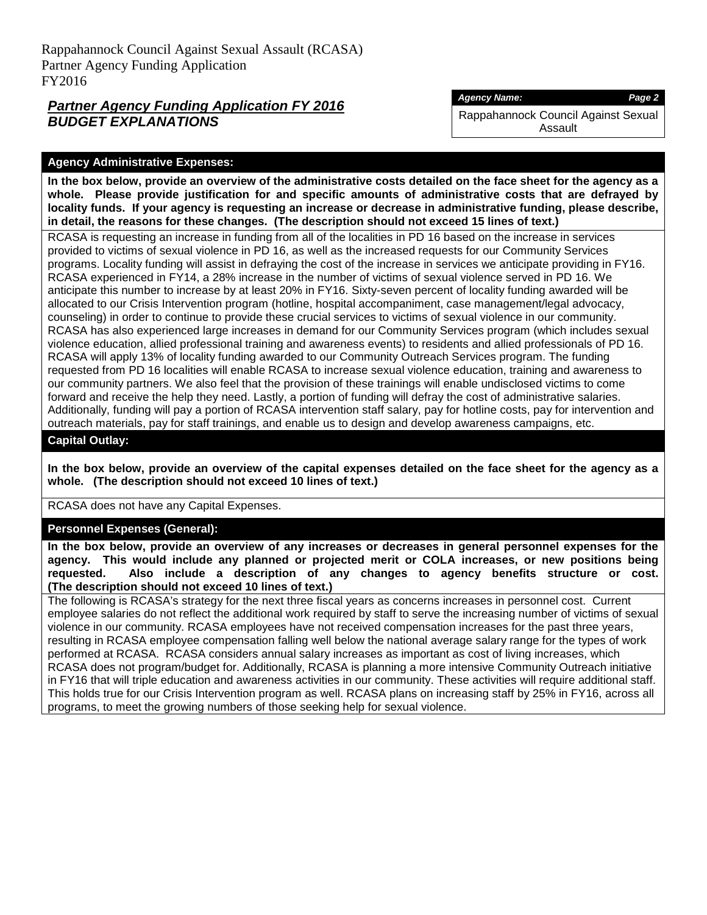## *Partner Agency Funding Application FY 2016 BUDGET EXPLANATIONS*

#### *Agency Name: Page 2*

Rappahannock Council Against Sexual Assault

#### **Agency Administrative Expenses:**

**In the box below, provide an overview of the administrative costs detailed on the face sheet for the agency as a whole. Please provide justification for and specific amounts of administrative costs that are defrayed by locality funds. If your agency is requesting an increase or decrease in administrative funding, please describe, in detail, the reasons for these changes. (The description should not exceed 15 lines of text.)**

RCASA is requesting an increase in funding from all of the localities in PD 16 based on the increase in services provided to victims of sexual violence in PD 16, as well as the increased requests for our Community Services programs. Locality funding will assist in defraying the cost of the increase in services we anticipate providing in FY16. RCASA experienced in FY14, a 28% increase in the number of victims of sexual violence served in PD 16. We anticipate this number to increase by at least 20% in FY16. Sixty-seven percent of locality funding awarded will be allocated to our Crisis Intervention program (hotline, hospital accompaniment, case management/legal advocacy, counseling) in order to continue to provide these crucial services to victims of sexual violence in our community. RCASA has also experienced large increases in demand for our Community Services program (which includes sexual violence education, allied professional training and awareness events) to residents and allied professionals of PD 16. RCASA will apply 13% of locality funding awarded to our Community Outreach Services program. The funding requested from PD 16 localities will enable RCASA to increase sexual violence education, training and awareness to our community partners. We also feel that the provision of these trainings will enable undisclosed victims to come forward and receive the help they need. Lastly, a portion of funding will defray the cost of administrative salaries. Additionally, funding will pay a portion of RCASA intervention staff salary, pay for hotline costs, pay for intervention and outreach materials, pay for staff trainings, and enable us to design and develop awareness campaigns, etc.

#### **Capital Outlay:**

**In the box below, provide an overview of the capital expenses detailed on the face sheet for the agency as a whole. (The description should not exceed 10 lines of text.)**

RCASA does not have any Capital Expenses.

## **Personnel Expenses (General):**

**In the box below, provide an overview of any increases or decreases in general personnel expenses for the agency. This would include any planned or projected merit or COLA increases, or new positions being requested. Also include a description of any changes to agency benefits structure or cost. (The description should not exceed 10 lines of text.)**

The following is RCASA's strategy for the next three fiscal years as concerns increases in personnel cost. Current employee salaries do not reflect the additional work required by staff to serve the increasing number of victims of sexual violence in our community. RCASA employees have not received compensation increases for the past three years, resulting in RCASA employee compensation falling well below the national average salary range for the types of work performed at RCASA. RCASA considers annual salary increases as important as cost of living increases, which RCASA does not program/budget for. Additionally, RCASA is planning a more intensive Community Outreach initiative in FY16 that will triple education and awareness activities in our community. These activities will require additional staff. This holds true for our Crisis Intervention program as well. RCASA plans on increasing staff by 25% in FY16, across all programs, to meet the growing numbers of those seeking help for sexual violence.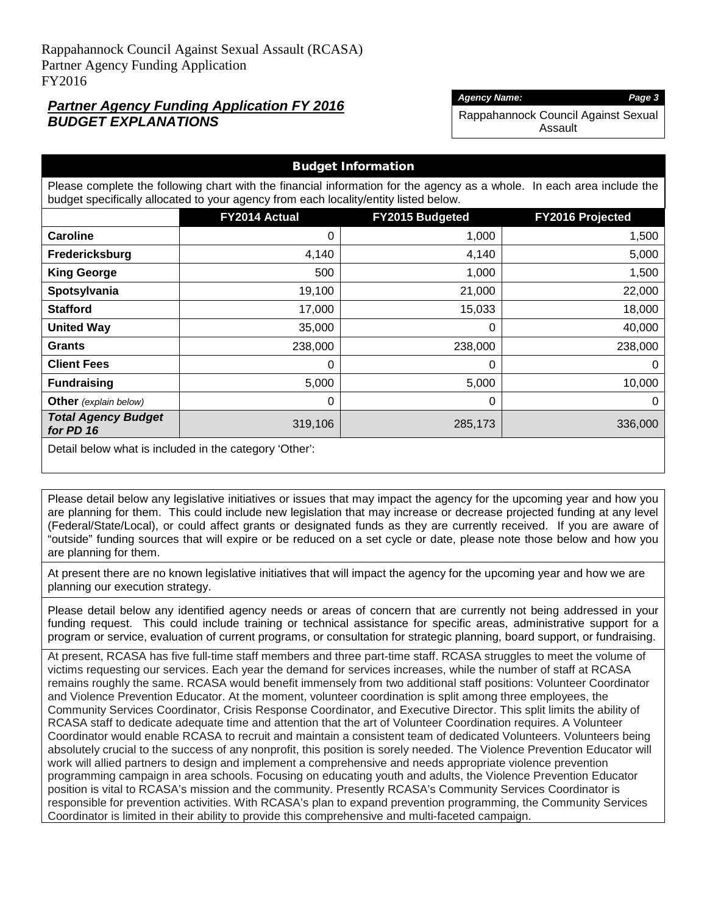## *Partner Agency Funding Application FY 2016 BUDGET EXPLANATIONS*

#### *Agency Name: Page 3*

Rappahannock Council Against Sexual Assault

| <b>Budget Information</b>                              |                                                                                                                                                                                                                |                                                   |         |  |  |
|--------------------------------------------------------|----------------------------------------------------------------------------------------------------------------------------------------------------------------------------------------------------------------|---------------------------------------------------|---------|--|--|
|                                                        | Please complete the following chart with the financial information for the agency as a whole. In each area include the<br>budget specifically allocated to your agency from each locality/entity listed below. |                                                   |         |  |  |
|                                                        | FY2014 Actual                                                                                                                                                                                                  | <b>FY2015 Budgeted</b><br><b>FY2016 Projected</b> |         |  |  |
| <b>Caroline</b>                                        | $\Omega$                                                                                                                                                                                                       | 1,000                                             | 1,500   |  |  |
| Fredericksburg                                         | 4,140                                                                                                                                                                                                          | 4,140                                             | 5,000   |  |  |
| <b>King George</b>                                     | 500                                                                                                                                                                                                            | 1,000                                             | 1,500   |  |  |
| Spotsylvania                                           | 19,100                                                                                                                                                                                                         | 21,000                                            | 22,000  |  |  |
| <b>Stafford</b>                                        | 17,000                                                                                                                                                                                                         | 15,033                                            | 18,000  |  |  |
| <b>United Way</b>                                      | 35,000                                                                                                                                                                                                         | 0                                                 | 40,000  |  |  |
| <b>Grants</b>                                          | 238,000                                                                                                                                                                                                        | 238,000                                           | 238,000 |  |  |
| <b>Client Fees</b>                                     | $\Omega$                                                                                                                                                                                                       | 0                                                 | 0       |  |  |
| <b>Fundraising</b>                                     | 5,000                                                                                                                                                                                                          | 5,000                                             | 10,000  |  |  |
| <b>Other</b> (explain below)                           | $\Omega$                                                                                                                                                                                                       | 0                                                 | 0       |  |  |
| <b>Total Agency Budget</b><br>for PD 16                | 319,106                                                                                                                                                                                                        | 285,173                                           | 336,000 |  |  |
| Detail below what is included in the category 'Other': |                                                                                                                                                                                                                |                                                   |         |  |  |

Please detail below any legislative initiatives or issues that may impact the agency for the upcoming year and how you are planning for them. This could include new legislation that may increase or decrease projected funding at any level (Federal/State/Local), or could affect grants or designated funds as they are currently received. If you are aware of "outside" funding sources that will expire or be reduced on a set cycle or date, please note those below and how you are planning for them.

At present there are no known legislative initiatives that will impact the agency for the upcoming year and how we are planning our execution strategy.

Please detail below any identified agency needs or areas of concern that are currently not being addressed in your funding request. This could include training or technical assistance for specific areas, administrative support for a program or service, evaluation of current programs, or consultation for strategic planning, board support, or fundraising.

At present, RCASA has five full-time staff members and three part-time staff. RCASA struggles to meet the volume of victims requesting our services. Each year the demand for services increases, while the number of staff at RCASA remains roughly the same. RCASA would benefit immensely from two additional staff positions: Volunteer Coordinator and Violence Prevention Educator. At the moment, volunteer coordination is split among three employees, the Community Services Coordinator, Crisis Response Coordinator, and Executive Director. This split limits the ability of RCASA staff to dedicate adequate time and attention that the art of Volunteer Coordination requires. A Volunteer Coordinator would enable RCASA to recruit and maintain a consistent team of dedicated Volunteers. Volunteers being absolutely crucial to the success of any nonprofit, this position is sorely needed. The Violence Prevention Educator will work will allied partners to design and implement a comprehensive and needs appropriate violence prevention programming campaign in area schools. Focusing on educating youth and adults, the Violence Prevention Educator position is vital to RCASA's mission and the community. Presently RCASA's Community Services Coordinator is responsible for prevention activities. With RCASA's plan to expand prevention programming, the Community Services Coordinator is limited in their ability to provide this comprehensive and multi-faceted campaign.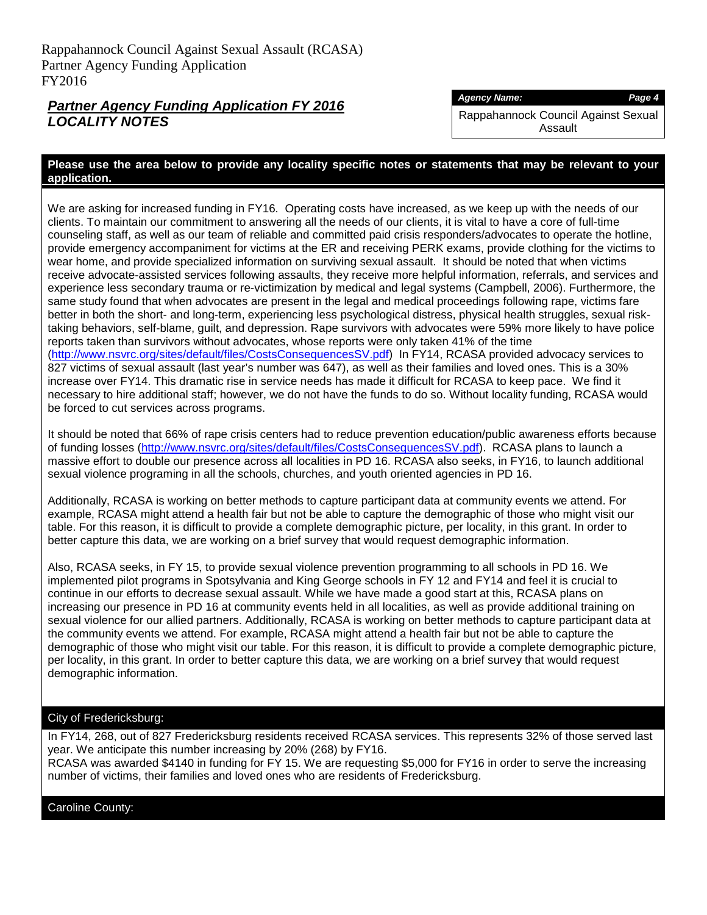## *Partner Agency Funding Application FY 2016 LOCALITY NOTES*

#### *Agency Name: Page 4*

Rappahannock Council Against Sexual Assault

#### **Please use the area below to provide any locality specific notes or statements that may be relevant to your application.**

We are asking for increased funding in FY16. Operating costs have increased, as we keep up with the needs of our clients. To maintain our commitment to answering all the needs of our clients, it is vital to have a core of full-time counseling staff, as well as our team of reliable and committed paid crisis responders/advocates to operate the hotline, provide emergency accompaniment for victims at the ER and receiving PERK exams, provide clothing for the victims to wear home, and provide specialized information on surviving sexual assault. It should be noted that when victims receive advocate-assisted services following assaults, they receive more helpful information, referrals, and services and experience less secondary trauma or re-victimization by medical and legal systems (Campbell, 2006). Furthermore, the same study found that when advocates are present in the legal and medical proceedings following rape, victims fare better in both the short- and long-term, experiencing less psychological distress, physical health struggles, sexual risktaking behaviors, self-blame, guilt, and depression. Rape survivors with advocates were 59% more likely to have police reports taken than survivors without advocates, whose reports were only taken 41% of the time [\(http://www.nsvrc.org/sites/default/files/CostsConsequencesSV.pdf\)](http://www.nsvrc.org/sites/default/files/CostsConsequencesSV.pdf) In FY14, RCASA provided advocacy services to 827 victims of sexual assault (last year's number was 647), as well as their families and loved ones. This is a 30% increase over FY14. This dramatic rise in service needs has made it difficult for RCASA to keep pace. We find it necessary to hire additional staff; however, we do not have the funds to do so. Without locality funding, RCASA would be forced to cut services across programs.

It should be noted that 66% of rape crisis centers had to reduce prevention education/public awareness efforts because of funding losses [\(http://www.nsvrc.org/sites/default/files/CostsConsequencesSV.pdf\)](http://www.nsvrc.org/sites/default/files/CostsConsequencesSV.pdf). RCASA plans to launch a massive effort to double our presence across all localities in PD 16. RCASA also seeks, in FY16, to launch additional sexual violence programing in all the schools, churches, and youth oriented agencies in PD 16.

Additionally, RCASA is working on better methods to capture participant data at community events we attend. For example, RCASA might attend a health fair but not be able to capture the demographic of those who might visit our table. For this reason, it is difficult to provide a complete demographic picture, per locality, in this grant. In order to better capture this data, we are working on a brief survey that would request demographic information.

Also, RCASA seeks, in FY 15, to provide sexual violence prevention programming to all schools in PD 16. We implemented pilot programs in Spotsylvania and King George schools in FY 12 and FY14 and feel it is crucial to continue in our efforts to decrease sexual assault. While we have made a good start at this, RCASA plans on increasing our presence in PD 16 at community events held in all localities, as well as provide additional training on sexual violence for our allied partners. Additionally, RCASA is working on better methods to capture participant data at the community events we attend. For example, RCASA might attend a health fair but not be able to capture the demographic of those who might visit our table. For this reason, it is difficult to provide a complete demographic picture, per locality, in this grant. In order to better capture this data, we are working on a brief survey that would request demographic information.

## City of Fredericksburg:

In FY14, 268, out of 827 Fredericksburg residents received RCASA services. This represents 32% of those served last year. We anticipate this number increasing by 20% (268) by FY16. RCASA was awarded \$4140 in funding for FY 15. We are requesting \$5,000 for FY16 in order to serve the increasing number of victims, their families and loved ones who are residents of Fredericksburg.

Caroline County: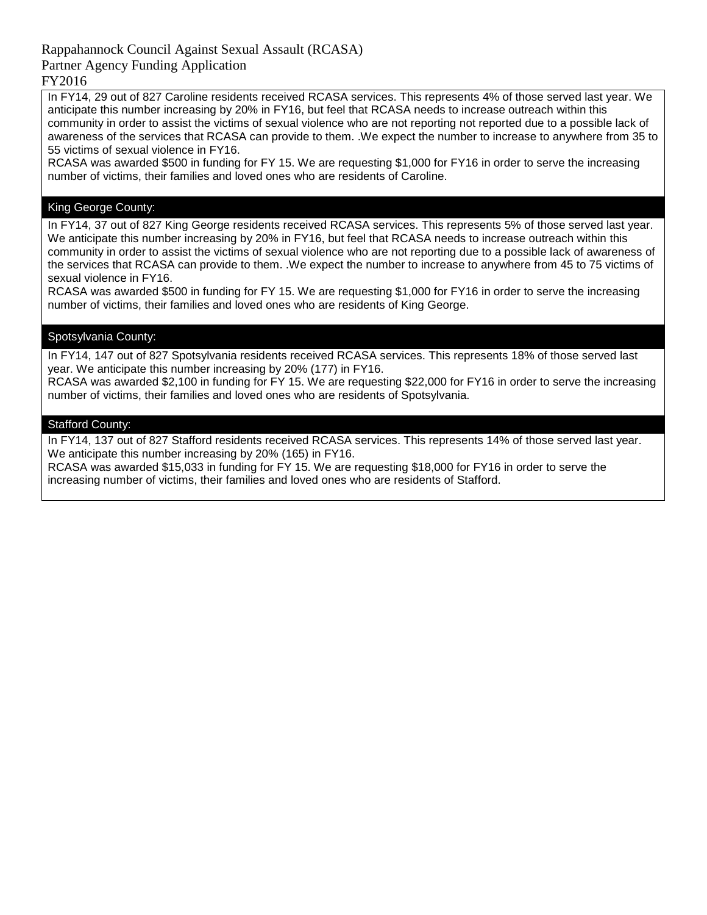## Rappahannock Council Against Sexual Assault (RCASA)

## Partner Agency Funding Application

## FY2016

In FY14, 29 out of 827 Caroline residents received RCASA services. This represents 4% of those served last year. We anticipate this number increasing by 20% in FY16, but feel that RCASA needs to increase outreach within this community in order to assist the victims of sexual violence who are not reporting not reported due to a possible lack of awareness of the services that RCASA can provide to them. .We expect the number to increase to anywhere from 35 to 55 victims of sexual violence in FY16.

RCASA was awarded \$500 in funding for FY 15. We are requesting \$1,000 for FY16 in order to serve the increasing number of victims, their families and loved ones who are residents of Caroline.

## King George County:

In FY14, 37 out of 827 King George residents received RCASA services. This represents 5% of those served last year. We anticipate this number increasing by 20% in FY16, but feel that RCASA needs to increase outreach within this community in order to assist the victims of sexual violence who are not reporting due to a possible lack of awareness of the services that RCASA can provide to them. .We expect the number to increase to anywhere from 45 to 75 victims of sexual violence in FY16.

RCASA was awarded \$500 in funding for FY 15. We are requesting \$1,000 for FY16 in order to serve the increasing number of victims, their families and loved ones who are residents of King George.

## Spotsylvania County:

In FY14, 147 out of 827 Spotsylvania residents received RCASA services. This represents 18% of those served last year. We anticipate this number increasing by 20% (177) in FY16.

RCASA was awarded \$2,100 in funding for FY 15. We are requesting \$22,000 for FY16 in order to serve the increasing number of victims, their families and loved ones who are residents of Spotsylvania.

#### Stafford County:

In FY14, 137 out of 827 Stafford residents received RCASA services. This represents 14% of those served last year. We anticipate this number increasing by 20% (165) in FY16.

RCASA was awarded \$15,033 in funding for FY 15. We are requesting \$18,000 for FY16 in order to serve the increasing number of victims, their families and loved ones who are residents of Stafford.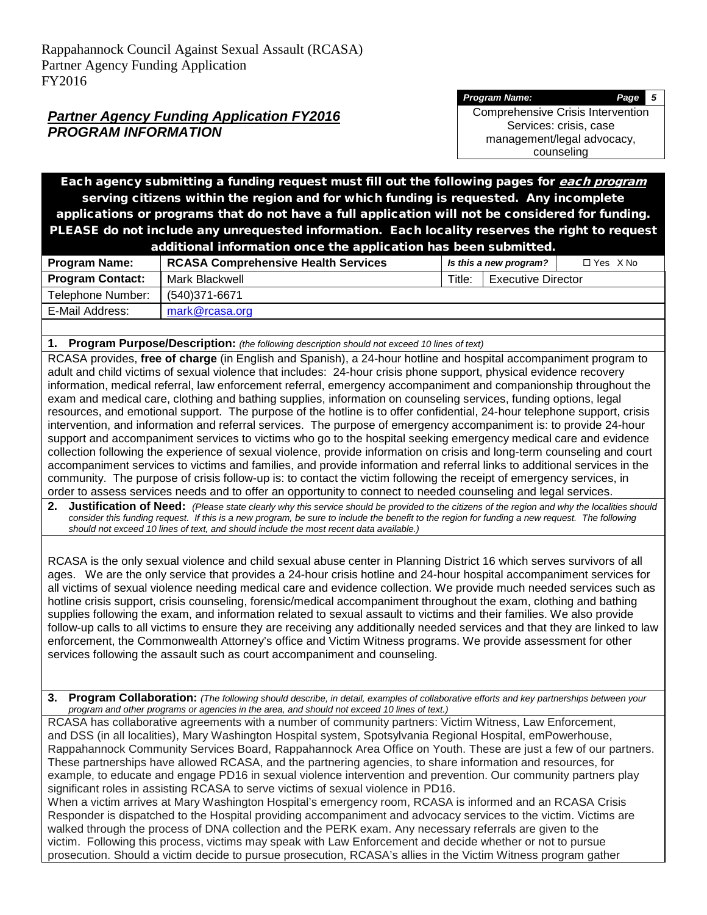*Program Name: Page 5* Comprehensive Crisis Intervention Services: crisis, case management/legal advocacy, counseling

Each agency submitting a funding request must fill out the following pages for each program serving citizens within the region and for which funding is requested. Any incomplete applications or programs that do not have a full application will not be considered for funding. PLEASE do not include any unrequested information. Each locality reserves the right to request

| additional information once the application has been submitted. |                                            |        |                           |            |
|-----------------------------------------------------------------|--------------------------------------------|--------|---------------------------|------------|
| <b>Program Name:</b>                                            | <b>RCASA Comprehensive Health Services</b> |        | Is this a new program?    | □ Yes X No |
| <b>Program Contact:</b>                                         | Mark Blackwell                             | Title: | <b>Executive Director</b> |            |
| Telephone Number:                                               | (540)371-6671                              |        |                           |            |
| E-Mail Address:                                                 | mark@rcasa.org                             |        |                           |            |
|                                                                 |                                            |        |                           |            |

**1. Program Purpose/Description:** *(the following description should not exceed 10 lines of text)*

RCASA provides, **free of charge** (in English and Spanish), a 24-hour hotline and hospital accompaniment program to adult and child victims of sexual violence that includes: 24-hour crisis phone support, physical evidence recovery information, medical referral, law enforcement referral, emergency accompaniment and companionship throughout the exam and medical care, clothing and bathing supplies, information on counseling services, funding options, legal resources, and emotional support. The purpose of the hotline is to offer confidential, 24-hour telephone support, crisis intervention, and information and referral services. The purpose of emergency accompaniment is: to provide 24-hour support and accompaniment services to victims who go to the hospital seeking emergency medical care and evidence collection following the experience of sexual violence, provide information on crisis and long-term counseling and court accompaniment services to victims and families, and provide information and referral links to additional services in the community. The purpose of crisis follow-up is: to contact the victim following the receipt of emergency services, in order to assess services needs and to offer an opportunity to connect to needed counseling and legal services.

**2. Justification of Need:** *(Please state clearly why this service should be provided to the citizens of the region and why the localities should consider this funding request. If this is a new program, be sure to include the benefit to the region for funding a new request. The following should not exceed 10 lines of text, and should include the most recent data available.)*

RCASA is the only sexual violence and child sexual abuse center in Planning District 16 which serves survivors of all ages. We are the only service that provides a 24-hour crisis hotline and 24-hour hospital accompaniment services for all victims of sexual violence needing medical care and evidence collection. We provide much needed services such as hotline crisis support, crisis counseling, forensic/medical accompaniment throughout the exam, clothing and bathing supplies following the exam, and information related to sexual assault to victims and their families. We also provide follow-up calls to all victims to ensure they are receiving any additionally needed services and that they are linked to law enforcement, the Commonwealth Attorney's office and Victim Witness programs. We provide assessment for other services following the assault such as court accompaniment and counseling.

**3. Program Collaboration:** *(The following should describe, in detail, examples of collaborative efforts and key partnerships between your program and other programs or agencies in the area, and should not exceed 10 lines of text.)*

RCASA has collaborative agreements with a number of community partners: Victim Witness, Law Enforcement, and DSS (in all localities), Mary Washington Hospital system, Spotsylvania Regional Hospital, emPowerhouse, Rappahannock Community Services Board, Rappahannock Area Office on Youth. These are just a few of our partners. These partnerships have allowed RCASA, and the partnering agencies, to share information and resources, for example, to educate and engage PD16 in sexual violence intervention and prevention. Our community partners play significant roles in assisting RCASA to serve victims of sexual violence in PD16.

When a victim arrives at Mary Washington Hospital's emergency room, RCASA is informed and an RCASA Crisis Responder is dispatched to the Hospital providing accompaniment and advocacy services to the victim. Victims are walked through the process of DNA collection and the PERK exam. Any necessary referrals are given to the victim. Following this process, victims may speak with Law Enforcement and decide whether or not to pursue prosecution. Should a victim decide to pursue prosecution, RCASA's allies in the Victim Witness program gather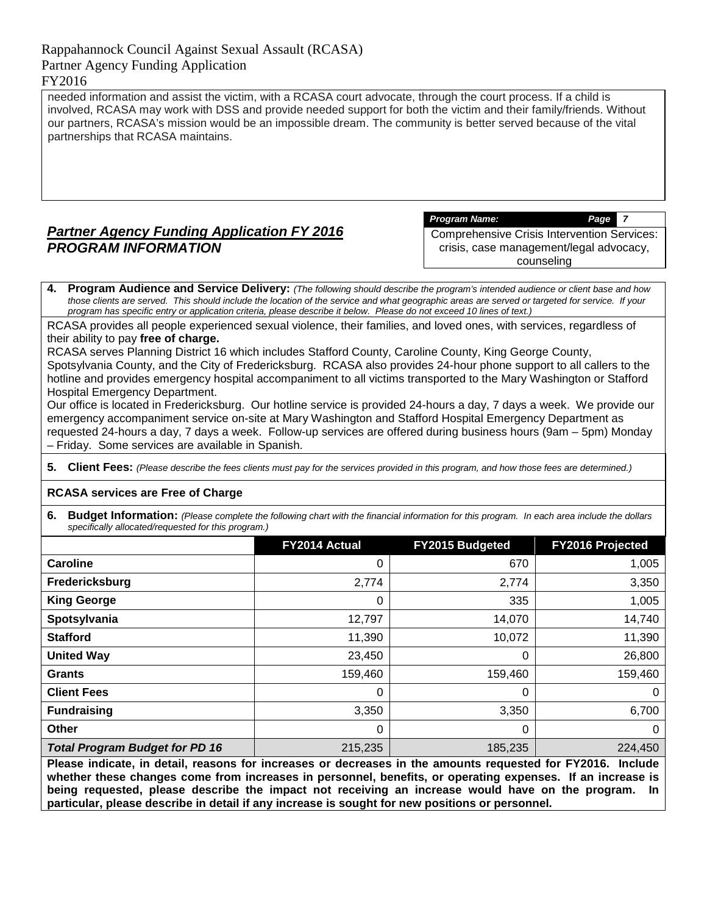needed information and assist the victim, with a RCASA court advocate, through the court process. If a child is involved, RCASA may work with DSS and provide needed support for both the victim and their family/friends. Without our partners, RCASA's mission would be an impossible dream. The community is better served because of the vital partnerships that RCASA maintains.

# *Partner Agency Funding Application FY 2016 PROGRAM INFORMATION*

*Program Name: Page 7*

Comprehensive Crisis Intervention Services: crisis, case management/legal advocacy, counseling

**4. Program Audience and Service Delivery:** *(The following should describe the program's intended audience or client base and how those clients are served. This should include the location of the service and what geographic areas are served or targeted for service. If your program has specific entry or application criteria, please describe it below. Please do not exceed 10 lines of text.)*

RCASA provides all people experienced sexual violence, their families, and loved ones, with services, regardless of their ability to pay **free of charge.**

RCASA serves Planning District 16 which includes Stafford County, Caroline County, King George County, Spotsylvania County, and the City of Fredericksburg. RCASA also provides 24-hour phone support to all callers to the hotline and provides emergency hospital accompaniment to all victims transported to the Mary Washington or Stafford Hospital Emergency Department.

Our office is located in Fredericksburg. Our hotline service is provided 24-hours a day, 7 days a week. We provide our emergency accompaniment service on-site at Mary Washington and Stafford Hospital Emergency Department as requested 24-hours a day, 7 days a week. Follow-up services are offered during business hours (9am – 5pm) Monday – Friday. Some services are available in Spanish.

**5. Client Fees:** *(Please describe the fees clients must pay for the services provided in this program, and how those fees are determined.)*

#### **RCASA services are Free of Charge**

**6.** Budget Information: (Please complete the following chart with the financial information for this program. In each area include the dollars *specifically allocated/requested for this program.)*

|                                       | FY2014 Actual | FY2015 Budgeted | FY2016 Projected |
|---------------------------------------|---------------|-----------------|------------------|
| <b>Caroline</b>                       | 0             | 670             | 1,005            |
| Fredericksburg                        | 2,774         | 2,774           | 3,350            |
| <b>King George</b>                    | 0             | 335             | 1,005            |
| Spotsylvania                          | 12,797        | 14,070          | 14,740           |
| <b>Stafford</b>                       | 11,390        | 10,072          | 11,390           |
| <b>United Way</b>                     | 23,450        | 0               | 26,800           |
| <b>Grants</b>                         | 159,460       | 159,460         | 159,460          |
| <b>Client Fees</b>                    | 0             | 0               | 0                |
| <b>Fundraising</b>                    | 3,350         | 3,350           | 6,700            |
| <b>Other</b>                          | 0             | 0               | 0                |
| <b>Total Program Budget for PD 16</b> | 215,235       | 185,235         | 224,450          |

**Please indicate, in detail, reasons for increases or decreases in the amounts requested for FY2016. Include whether these changes come from increases in personnel, benefits, or operating expenses. If an increase is being requested, please describe the impact not receiving an increase would have on the program. In particular, please describe in detail if any increase is sought for new positions or personnel.**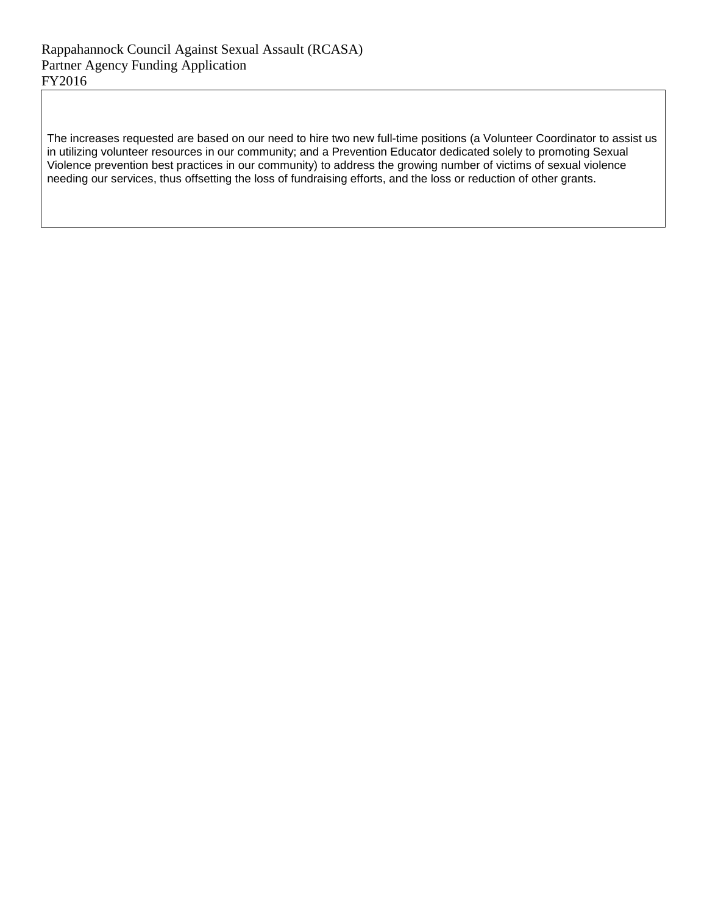The increases requested are based on our need to hire two new full-time positions (a Volunteer Coordinator to assist us in utilizing volunteer resources in our community; and a Prevention Educator dedicated solely to promoting Sexual Violence prevention best practices in our community) to address the growing number of victims of sexual violence needing our services, thus offsetting the loss of fundraising efforts, and the loss or reduction of other grants.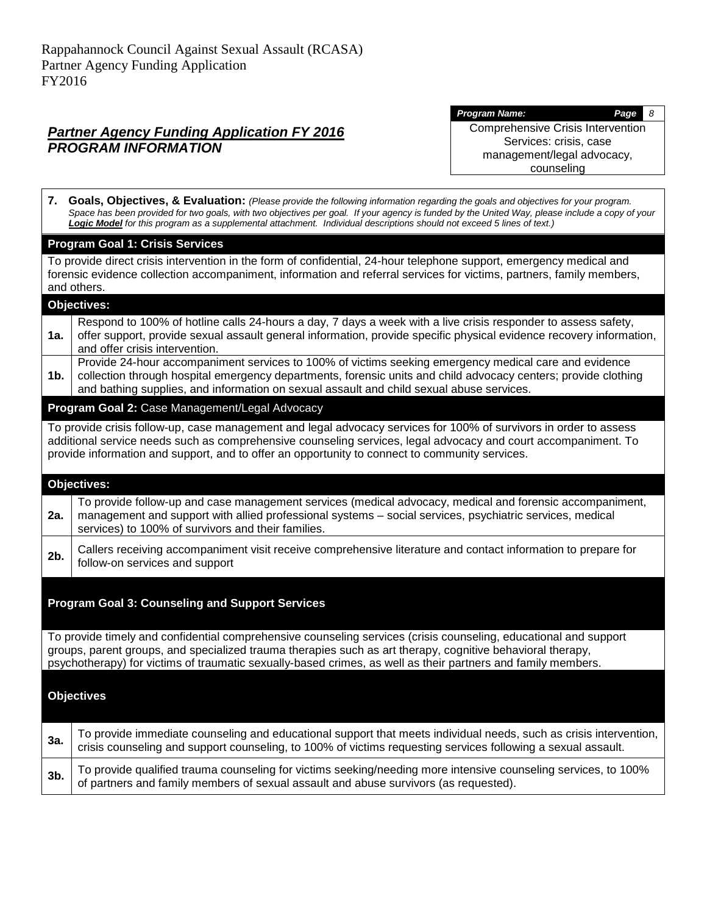*Program Name: Page 8* Comprehensive Crisis Intervention Services: crisis, case management/legal advocacy, counseling

|        | 7. Goals, Objectives, & Evaluation: (Please provide the following information regarding the goals and objectives for your program.<br>Space has been provided for two goals, with two objectives per goal. If your agency is funded by the United Way, please include a copy of your<br>Logic Model for this program as a supplemental attachment. Individual descriptions should not exceed 5 lines of text.) |
|--------|----------------------------------------------------------------------------------------------------------------------------------------------------------------------------------------------------------------------------------------------------------------------------------------------------------------------------------------------------------------------------------------------------------------|
|        | <b>Program Goal 1: Crisis Services</b>                                                                                                                                                                                                                                                                                                                                                                         |
|        | To provide direct crisis intervention in the form of confidential, 24-hour telephone support, emergency medical and<br>forensic evidence collection accompaniment, information and referral services for victims, partners, family members,<br>and others.                                                                                                                                                     |
|        | <b>Objectives:</b>                                                                                                                                                                                                                                                                                                                                                                                             |
| 1a.    | Respond to 100% of hotline calls 24-hours a day, 7 days a week with a live crisis responder to assess safety,<br>offer support, provide sexual assault general information, provide specific physical evidence recovery information,<br>and offer crisis intervention.                                                                                                                                         |
| 1b.    | Provide 24-hour accompaniment services to 100% of victims seeking emergency medical care and evidence<br>collection through hospital emergency departments, forensic units and child advocacy centers; provide clothing<br>and bathing supplies, and information on sexual assault and child sexual abuse services.                                                                                            |
|        | Program Goal 2: Case Management/Legal Advocacy                                                                                                                                                                                                                                                                                                                                                                 |
|        | To provide crisis follow-up, case management and legal advocacy services for 100% of survivors in order to assess<br>additional service needs such as comprehensive counseling services, legal advocacy and court accompaniment. To<br>provide information and support, and to offer an opportunity to connect to community services.                                                                          |
|        | Objectives:                                                                                                                                                                                                                                                                                                                                                                                                    |
| 2a.    | To provide follow-up and case management services (medical advocacy, medical and forensic accompaniment,<br>management and support with allied professional systems - social services, psychiatric services, medical<br>services) to 100% of survivors and their families.                                                                                                                                     |
| 2b.    | Callers receiving accompaniment visit receive comprehensive literature and contact information to prepare for<br>follow-on services and support                                                                                                                                                                                                                                                                |
|        | <b>Program Goal 3: Counseling and Support Services</b>                                                                                                                                                                                                                                                                                                                                                         |
|        | To provide timely and confidential comprehensive counseling services (crisis counseling, educational and support<br>groups, parent groups, and specialized trauma therapies such as art therapy, cognitive behavioral therapy,<br>psychotherapy) for victims of traumatic sexually-based crimes, as well as their partners and family members.                                                                 |
|        | <b>Objectives</b>                                                                                                                                                                                                                                                                                                                                                                                              |
| За.    | To provide immediate counseling and educational support that meets individual needs, such as crisis intervention,<br>crisis counseling and support counseling, to 100% of victims requesting services following a sexual assault.                                                                                                                                                                              |
| $3b$ . | To provide qualified trauma counseling for victims seeking/needing more intensive counseling services, to 100%<br>of partners and family members of sexual assault and abuse survivors (as requested).                                                                                                                                                                                                         |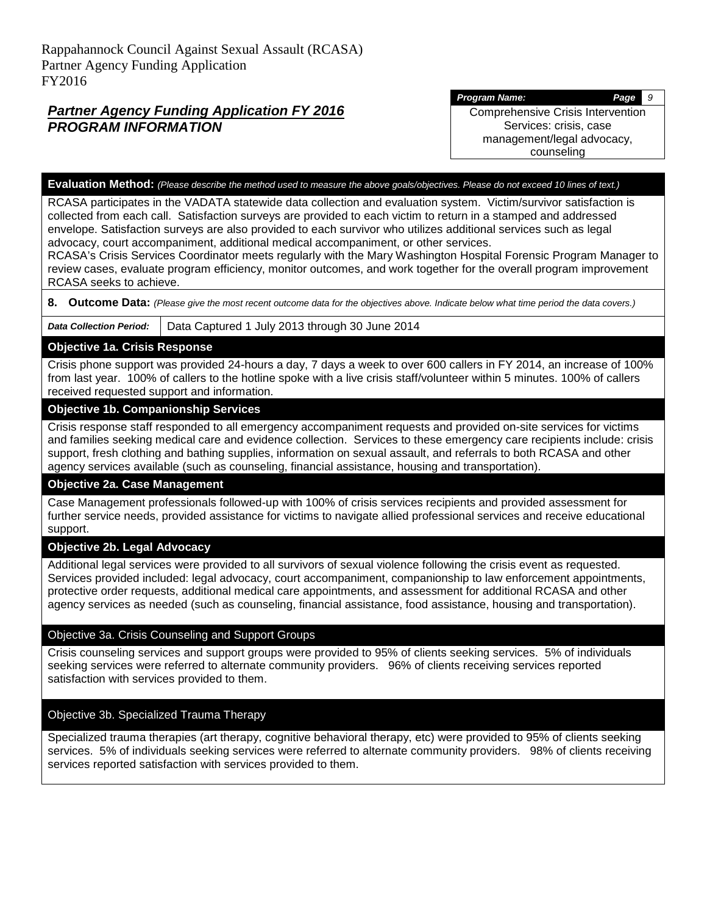*Program Name: Page 9*

Comprehensive Crisis Intervention Services: crisis, case management/legal advocacy, counseling

#### **Evaluation Method:** *(Please describe the method used to measure the above goals/objectives. Please do not exceed 10 lines of text.)*

RCASA participates in the VADATA statewide data collection and evaluation system. Victim/survivor satisfaction is collected from each call. Satisfaction surveys are provided to each victim to return in a stamped and addressed envelope. Satisfaction surveys are also provided to each survivor who utilizes additional services such as legal advocacy, court accompaniment, additional medical accompaniment, or other services.

RCASA's Crisis Services Coordinator meets regularly with the Mary Washington Hospital Forensic Program Manager to review cases, evaluate program efficiency, monitor outcomes, and work together for the overall program improvement RCASA seeks to achieve.

**8. Outcome Data:** *(Please give the most recent outcome data for the objectives above. Indicate below what time period the data covers.)*

*Data Collection Period:* Data Captured 1 July 2013 through 30 June 2014

## **Objective 1a. Crisis Response**

Crisis phone support was provided 24-hours a day, 7 days a week to over 600 callers in FY 2014, an increase of 100% from last year. 100% of callers to the hotline spoke with a live crisis staff/volunteer within 5 minutes. 100% of callers received requested support and information.

#### **Objective 1b. Companionship Services**

Crisis response staff responded to all emergency accompaniment requests and provided on-site services for victims and families seeking medical care and evidence collection. Services to these emergency care recipients include: crisis support, fresh clothing and bathing supplies, information on sexual assault, and referrals to both RCASA and other agency services available (such as counseling, financial assistance, housing and transportation).

#### **Objective 2a. Case Management**

Case Management professionals followed-up with 100% of crisis services recipients and provided assessment for further service needs, provided assistance for victims to navigate allied professional services and receive educational support.

## **Objective 2b. Legal Advocacy**

Additional legal services were provided to all survivors of sexual violence following the crisis event as requested. Services provided included: legal advocacy, court accompaniment, companionship to law enforcement appointments, protective order requests, additional medical care appointments, and assessment for additional RCASA and other agency services as needed (such as counseling, financial assistance, food assistance, housing and transportation).

#### Objective 3a. Crisis Counseling and Support Groups

Crisis counseling services and support groups were provided to 95% of clients seeking services. 5% of individuals seeking services were referred to alternate community providers. 96% of clients receiving services reported satisfaction with services provided to them.

#### Objective 3b. Specialized Trauma Therapy

Specialized trauma therapies (art therapy, cognitive behavioral therapy, etc) were provided to 95% of clients seeking services. 5% of individuals seeking services were referred to alternate community providers. 98% of clients receiving services reported satisfaction with services provided to them.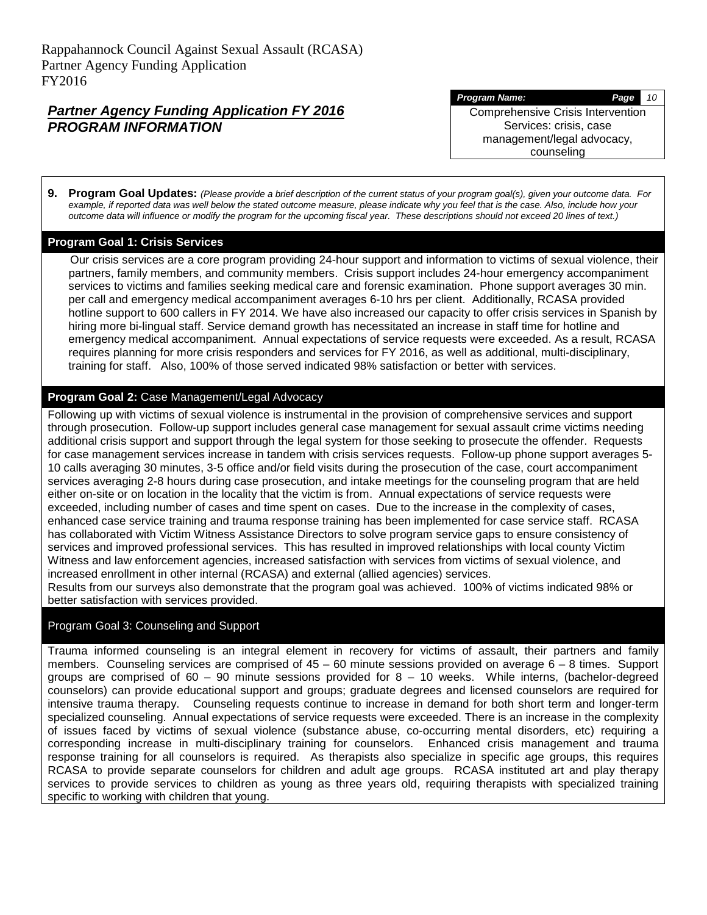#### *Program Name: Page 10*

Comprehensive Crisis Intervention Services: crisis, case management/legal advocacy, counseling

**9. Program Goal Updates:** *(Please provide a brief description of the current status of your program goal(s), given your outcome data. For example, if reported data was well below the stated outcome measure, please indicate why you feel that is the case. Also, include how your outcome data will influence or modify the program for the upcoming fiscal year. These descriptions should not exceed 20 lines of text.)*

#### **Program Goal 1: Crisis Services**

 Our crisis services are a core program providing 24-hour support and information to victims of sexual violence, their partners, family members, and community members. Crisis support includes 24-hour emergency accompaniment services to victims and families seeking medical care and forensic examination. Phone support averages 30 min. per call and emergency medical accompaniment averages 6-10 hrs per client. Additionally, RCASA provided hotline support to 600 callers in FY 2014. We have also increased our capacity to offer crisis services in Spanish by hiring more bi-lingual staff. Service demand growth has necessitated an increase in staff time for hotline and emergency medical accompaniment. Annual expectations of service requests were exceeded. As a result, RCASA requires planning for more crisis responders and services for FY 2016, as well as additional, multi-disciplinary, training for staff. Also, 100% of those served indicated 98% satisfaction or better with services.

## **Program Goal 2:** Case Management/Legal Advocacy

Following up with victims of sexual violence is instrumental in the provision of comprehensive services and support through prosecution. Follow-up support includes general case management for sexual assault crime victims needing additional crisis support and support through the legal system for those seeking to prosecute the offender. Requests for case management services increase in tandem with crisis services requests. Follow-up phone support averages 5- 10 calls averaging 30 minutes, 3-5 office and/or field visits during the prosecution of the case, court accompaniment services averaging 2-8 hours during case prosecution, and intake meetings for the counseling program that are held either on-site or on location in the locality that the victim is from. Annual expectations of service requests were exceeded, including number of cases and time spent on cases. Due to the increase in the complexity of cases, enhanced case service training and trauma response training has been implemented for case service staff. RCASA has collaborated with Victim Witness Assistance Directors to solve program service gaps to ensure consistency of services and improved professional services. This has resulted in improved relationships with local county Victim Witness and law enforcement agencies, increased satisfaction with services from victims of sexual violence, and increased enrollment in other internal (RCASA) and external (allied agencies) services.

Results from our surveys also demonstrate that the program goal was achieved. 100% of victims indicated 98% or better satisfaction with services provided.

#### Program Goal 3: Counseling and Support

Trauma informed counseling is an integral element in recovery for victims of assault, their partners and family members. Counseling services are comprised of 45 – 60 minute sessions provided on average 6 – 8 times. Support groups are comprised of  $60 - 90$  minute sessions provided for  $8 - 10$  weeks. While interns, (bachelor-degreed counselors) can provide educational support and groups; graduate degrees and licensed counselors are required for intensive trauma therapy. Counseling requests continue to increase in demand for both short term and longer-term specialized counseling. Annual expectations of service requests were exceeded. There is an increase in the complexity of issues faced by victims of sexual violence (substance abuse, co-occurring mental disorders, etc) requiring a corresponding increase in multi-disciplinary training for counselors. Enhanced crisis management and trauma response training for all counselors is required. As therapists also specialize in specific age groups, this requires RCASA to provide separate counselors for children and adult age groups. RCASA instituted art and play therapy services to provide services to children as young as three years old, requiring therapists with specialized training specific to working with children that young.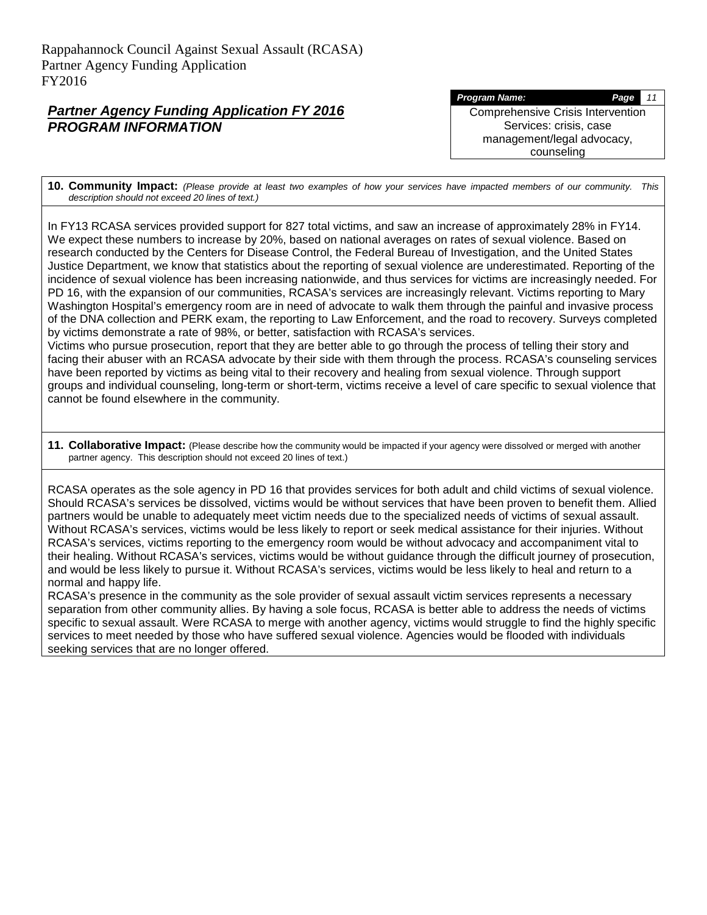*Program Name: Page 11* Comprehensive Crisis Intervention Services: crisis, case

> management/legal advocacy, counseling

**10. Community Impact:** *(Please provide at least two examples of how your services have impacted members of our community. This description should not exceed 20 lines of text.)*

In FY13 RCASA services provided support for 827 total victims, and saw an increase of approximately 28% in FY14. We expect these numbers to increase by 20%, based on national averages on rates of sexual violence. Based on research conducted by the Centers for Disease Control, the Federal Bureau of Investigation, and the United States Justice Department, we know that statistics about the reporting of sexual violence are underestimated. Reporting of the incidence of sexual violence has been increasing nationwide, and thus services for victims are increasingly needed. For PD 16, with the expansion of our communities, RCASA's services are increasingly relevant. Victims reporting to Mary Washington Hospital's emergency room are in need of advocate to walk them through the painful and invasive process of the DNA collection and PERK exam, the reporting to Law Enforcement, and the road to recovery. Surveys completed by victims demonstrate a rate of 98%, or better, satisfaction with RCASA's services.

Victims who pursue prosecution, report that they are better able to go through the process of telling their story and facing their abuser with an RCASA advocate by their side with them through the process. RCASA's counseling services have been reported by victims as being vital to their recovery and healing from sexual violence. Through support groups and individual counseling, long-term or short-term, victims receive a level of care specific to sexual violence that cannot be found elsewhere in the community.

**11. Collaborative Impact:** (Please describe how the community would be impacted if your agency were dissolved or merged with another partner agency. This description should not exceed 20 lines of text.)

RCASA operates as the sole agency in PD 16 that provides services for both adult and child victims of sexual violence. Should RCASA's services be dissolved, victims would be without services that have been proven to benefit them. Allied partners would be unable to adequately meet victim needs due to the specialized needs of victims of sexual assault. Without RCASA's services, victims would be less likely to report or seek medical assistance for their injuries. Without RCASA's services, victims reporting to the emergency room would be without advocacy and accompaniment vital to their healing. Without RCASA's services, victims would be without guidance through the difficult journey of prosecution, and would be less likely to pursue it. Without RCASA's services, victims would be less likely to heal and return to a normal and happy life.

RCASA's presence in the community as the sole provider of sexual assault victim services represents a necessary separation from other community allies. By having a sole focus, RCASA is better able to address the needs of victims specific to sexual assault. Were RCASA to merge with another agency, victims would struggle to find the highly specific services to meet needed by those who have suffered sexual violence. Agencies would be flooded with individuals seeking services that are no longer offered.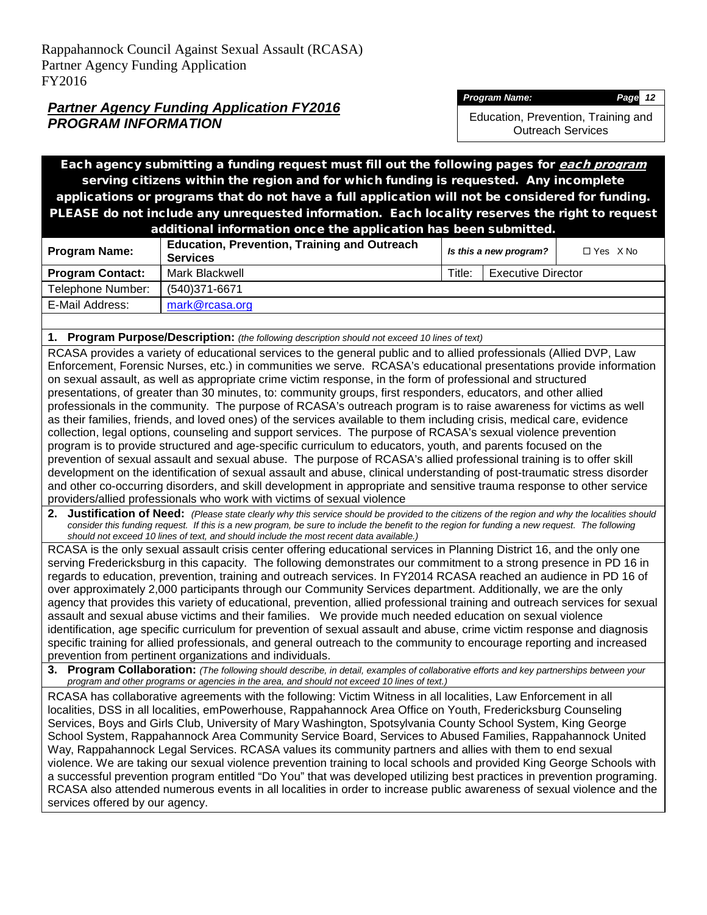*Program Name: Page 12*

Education, Prevention, Training and Outreach Services

Each agency submitting a funding request must fill out the following pages for each program serving citizens within the region and for which funding is requested. Any incomplete applications or programs that do not have a full application will not be considered for funding. PLEASE do not include any unrequested information. Each locality reserves the right to request

| additional information once the application has been submitted. |                                                                        |                        |                           |                   |
|-----------------------------------------------------------------|------------------------------------------------------------------------|------------------------|---------------------------|-------------------|
| <b>Program Name:</b>                                            | <b>Education, Prevention, Training and Outreach</b><br><b>Services</b> | Is this a new program? |                           | $\Box$ Yes $X$ No |
| <b>Program Contact:</b>                                         | Mark Blackwell                                                         | Title:                 | <b>Executive Director</b> |                   |
| Telephone Number:                                               | (540)371-6671                                                          |                        |                           |                   |
| E-Mail Address:                                                 | mark@rcasa.org                                                         |                        |                           |                   |

**1. Program Purpose/Description:** *(the following description should not exceed 10 lines of text)*

RCASA provides a variety of educational services to the general public and to allied professionals (Allied DVP, Law Enforcement, Forensic Nurses, etc.) in communities we serve. RCASA's educational presentations provide information on sexual assault, as well as appropriate crime victim response, in the form of professional and structured presentations, of greater than 30 minutes, to: community groups, first responders, educators, and other allied professionals in the community. The purpose of RCASA's outreach program is to raise awareness for victims as well as their families, friends, and loved ones) of the services available to them including crisis, medical care, evidence collection, legal options, counseling and support services. The purpose of RCASA's sexual violence prevention program is to provide structured and age-specific curriculum to educators, youth, and parents focused on the prevention of sexual assault and sexual abuse. The purpose of RCASA's allied professional training is to offer skill development on the identification of sexual assault and abuse, clinical understanding of post-traumatic stress disorder and other co-occurring disorders, and skill development in appropriate and sensitive trauma response to other service providers/allied professionals who work with victims of sexual violence

**2. Justification of Need:** *(Please state clearly why this service should be provided to the citizens of the region and why the localities should*  consider this funding request. If this is a new program, be sure to include the benefit to the region for funding a new request. The following *should not exceed 10 lines of text, and should include the most recent data available.)*

RCASA is the only sexual assault crisis center offering educational services in Planning District 16, and the only one serving Fredericksburg in this capacity. The following demonstrates our commitment to a strong presence in PD 16 in regards to education, prevention, training and outreach services. In FY2014 RCASA reached an audience in PD 16 of over approximately 2,000 participants through our Community Services department. Additionally, we are the only agency that provides this variety of educational, prevention, allied professional training and outreach services for sexual assault and sexual abuse victims and their families. We provide much needed education on sexual violence identification, age specific curriculum for prevention of sexual assault and abuse, crime victim response and diagnosis specific training for allied professionals, and general outreach to the community to encourage reporting and increased prevention from pertinent organizations and individuals.

**3. Program Collaboration:** *(The following should describe, in detail, examples of collaborative efforts and key partnerships between your program and other programs or agencies in the area, and should not exceed 10 lines of text.)*

RCASA has collaborative agreements with the following: Victim Witness in all localities, Law Enforcement in all localities, DSS in all localities, emPowerhouse, Rappahannock Area Office on Youth, Fredericksburg Counseling Services, Boys and Girls Club, University of Mary Washington, Spotsylvania County School System, King George School System, Rappahannock Area Community Service Board, Services to Abused Families, Rappahannock United Way, Rappahannock Legal Services. RCASA values its community partners and allies with them to end sexual violence. We are taking our sexual violence prevention training to local schools and provided King George Schools with a successful prevention program entitled "Do You" that was developed utilizing best practices in prevention programing. RCASA also attended numerous events in all localities in order to increase public awareness of sexual violence and the services offered by our agency.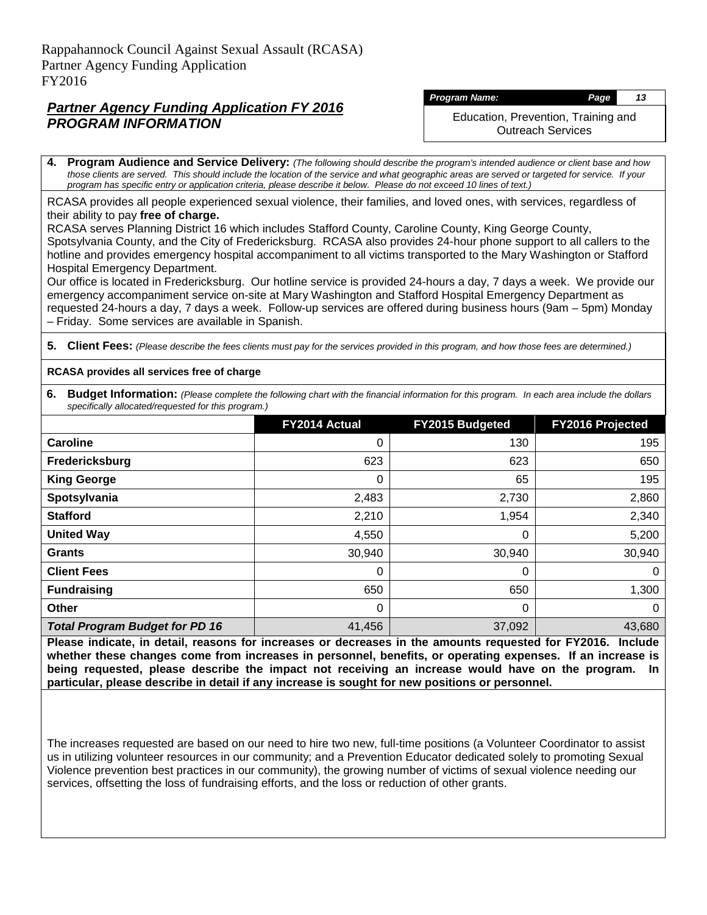#### *Program Name: Page 13*

Education, Prevention, Training and Outreach Services

**4. Program Audience and Service Delivery:** *(The following should describe the program's intended audience or client base and how those clients are served. This should include the location of the service and what geographic areas are served or targeted for service. If your program has specific entry or application criteria, please describe it below. Please do not exceed 10 lines of text.)*

RCASA provides all people experienced sexual violence, their families, and loved ones, with services, regardless of their ability to pay **free of charge.**

RCASA serves Planning District 16 which includes Stafford County, Caroline County, King George County, Spotsylvania County, and the City of Fredericksburg. RCASA also provides 24-hour phone support to all callers to the hotline and provides emergency hospital accompaniment to all victims transported to the Mary Washington or Stafford Hospital Emergency Department.

Our office is located in Fredericksburg. Our hotline service is provided 24-hours a day, 7 days a week. We provide our emergency accompaniment service on-site at Mary Washington and Stafford Hospital Emergency Department as requested 24-hours a day, 7 days a week. Follow-up services are offered during business hours (9am – 5pm) Monday – Friday. Some services are available in Spanish.

**5. Client Fees:** *(Please describe the fees clients must pay for the services provided in this program, and how those fees are determined.)*

#### **RCASA provides all services free of charge**

**6. Budget Information:** *(Please complete the following chart with the financial information for this program. In each area include the dollars specifically allocated/requested for this program.)*

|                                       | FY2014 Actual | <b>FY2015 Budgeted</b> | <b>FY2016 Projected</b> |
|---------------------------------------|---------------|------------------------|-------------------------|
| Caroline                              | 0             | 130                    | 195                     |
| Fredericksburg                        | 623           | 623                    | 650                     |
| <b>King George</b>                    | 0             | 65                     | 195                     |
| Spotsylvania                          | 2,483         | 2,730                  | 2,860                   |
| <b>Stafford</b>                       | 2,210         | 1,954                  | 2,340                   |
| <b>United Way</b>                     | 4,550         | 0                      | 5,200                   |
| <b>Grants</b>                         | 30,940        | 30,940                 | 30,940                  |
| <b>Client Fees</b>                    | 0             | 0                      | $\Omega$                |
| <b>Fundraising</b>                    | 650           | 650                    | 1,300                   |
| Other                                 | 0             | 0                      | $\Omega$                |
| <b>Total Program Budget for PD 16</b> | 41,456        | 37,092                 | 43,680                  |

**Please indicate, in detail, reasons for increases or decreases in the amounts requested for FY2016. Include whether these changes come from increases in personnel, benefits, or operating expenses. If an increase is being requested, please describe the impact not receiving an increase would have on the program. In particular, please describe in detail if any increase is sought for new positions or personnel.**

The increases requested are based on our need to hire two new, full-time positions (a Volunteer Coordinator to assist us in utilizing volunteer resources in our community; and a Prevention Educator dedicated solely to promoting Sexual Violence prevention best practices in our community), the growing number of victims of sexual violence needing our services, offsetting the loss of fundraising efforts, and the loss or reduction of other grants.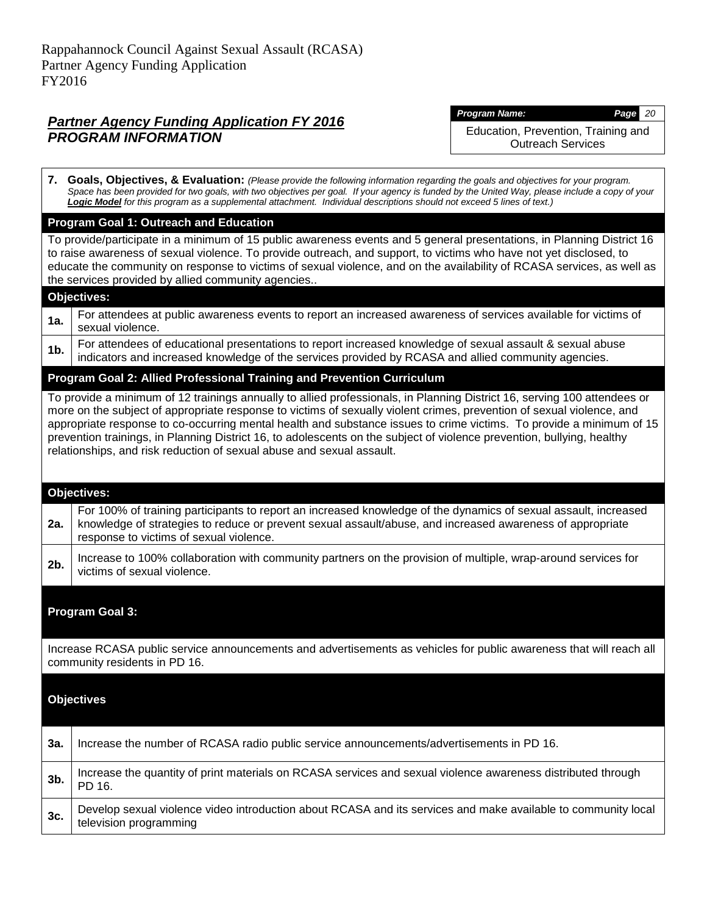*Program Name: Page 20*

Education, Prevention, Training and Outreach Services

**7. Goals, Objectives, & Evaluation:** *(Please provide the following information regarding the goals and objectives for your program.*  Space has been provided for two goals, with two objectives per goal. If your agency is funded by the United Way, please include a copy of your *Logic Model for this program as a supplemental attachment. Individual descriptions should not exceed 5 lines of text.)* **Program Goal 1: Outreach and Education** To provide/participate in a minimum of 15 public awareness events and 5 general presentations, in Planning District 16 to raise awareness of sexual violence. To provide outreach, and support, to victims who have not yet disclosed, to educate the community on response to victims of sexual violence, and on the availability of RCASA services, as well as the services provided by allied community agencies.. **Objectives: 1a.** For attendees at public awareness events to report an increased awareness of services available for victims of sexual violence. **1b.** For attendees of educational presentations to report increased knowledge of sexual assault & sexual abuse indicators and increased knowledge of the services provided by RCASA and allied community agencies. **Program Goal 2: Allied Professional Training and Prevention Curriculum** To provide a minimum of 12 trainings annually to allied professionals, in Planning District 16, serving 100 attendees or more on the subject of appropriate response to victims of sexually violent crimes, prevention of sexual violence, and appropriate response to co-occurring mental health and substance issues to crime victims. To provide a minimum of 15 prevention trainings, in Planning District 16, to adolescents on the subject of violence prevention, bullying, healthy relationships, and risk reduction of sexual abuse and sexual assault. **Objectives: 2a.** For 100% of training participants to report an increased knowledge of the dynamics of sexual assault, increased knowledge of strategies to reduce or prevent sexual assault/abuse, and increased awareness of appropriate response to victims of sexual violence. 2b. Increase to 100% collaboration with community partners on the provision of multiple, wrap-around services for victims of sexual violence. **Program Goal 3:** Increase RCASA public service announcements and advertisements as vehicles for public awareness that will reach all community residents in PD 16. **Objectives 3a.** Increase the number of RCASA radio public service announcements/advertisements in PD 16. **3b.** Increase the quantity of print materials on RCASA services and sexual violence awareness distributed through PD 16. **3c.** Develop sexual violence video introduction about RCASA and its services and make available to community local television programming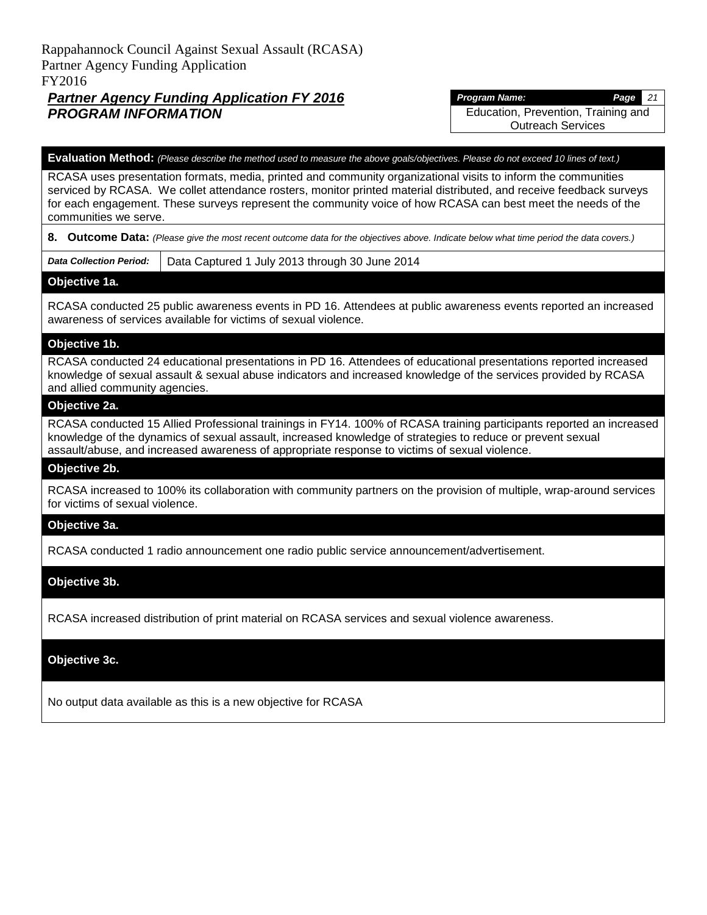## *Partner Agency Funding Application FY 2016 PROGRAM INFORMATION*

*Program Name: Page 21* Education, Prevention, Training and Outreach Services

#### **Evaluation Method:** *(Please describe the method used to measure the above goals/objectives. Please do not exceed 10 lines of text.)*

RCASA uses presentation formats, media, printed and community organizational visits to inform the communities serviced by RCASA. We collet attendance rosters, monitor printed material distributed, and receive feedback surveys for each engagement. These surveys represent the community voice of how RCASA can best meet the needs of the communities we serve.

#### **8. Outcome Data:** *(Please give the most recent outcome data for the objectives above. Indicate below what time period the data covers.)*

**Data Collection Period:** | Data Captured 1 July 2013 through 30 June 2014

#### **Objective 1a.**

RCASA conducted 25 public awareness events in PD 16. Attendees at public awareness events reported an increased awareness of services available for victims of sexual violence.

#### **Objective 1b.**

RCASA conducted 24 educational presentations in PD 16. Attendees of educational presentations reported increased knowledge of sexual assault & sexual abuse indicators and increased knowledge of the services provided by RCASA and allied community agencies.

#### **Objective 2a.**

RCASA conducted 15 Allied Professional trainings in FY14. 100% of RCASA training participants reported an increased knowledge of the dynamics of sexual assault, increased knowledge of strategies to reduce or prevent sexual assault/abuse, and increased awareness of appropriate response to victims of sexual violence.

#### **Objective 2b.**

RCASA increased to 100% its collaboration with community partners on the provision of multiple, wrap-around services for victims of sexual violence.

#### **Objective 3a.**

RCASA conducted 1 radio announcement one radio public service announcement/advertisement.

#### **Objective 3b.**

RCASA increased distribution of print material on RCASA services and sexual violence awareness.

#### **Objective 3c.**

No output data available as this is a new objective for RCASA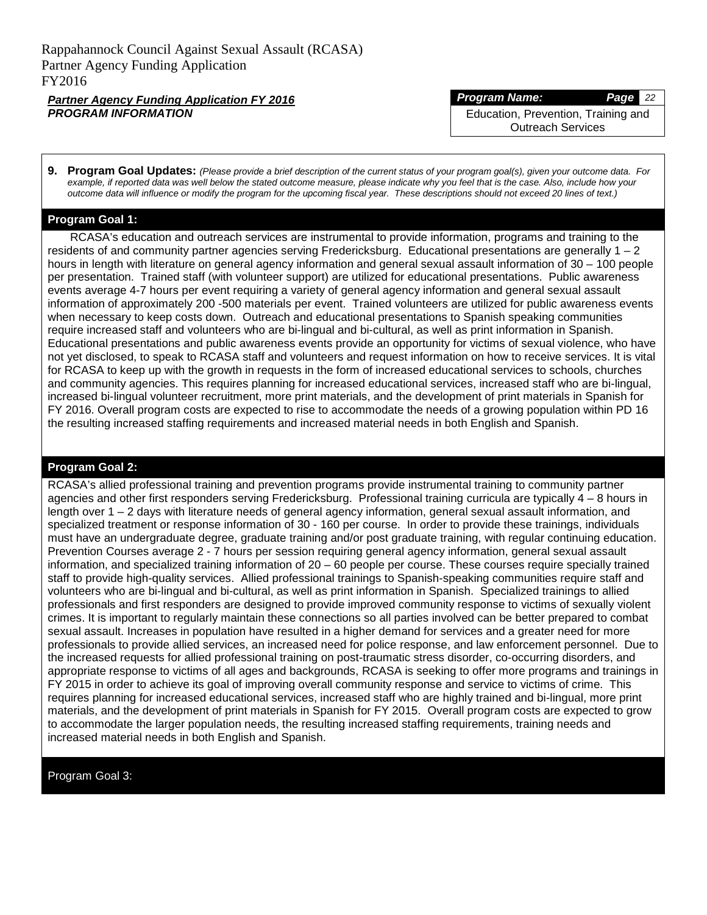#### *Program Name: Page 22*

Education, Prevention, Training and Outreach Services

**9. Program Goal Updates:** *(Please provide a brief description of the current status of your program goal(s), given your outcome data. For example, if reported data was well below the stated outcome measure, please indicate why you feel that is the case. Also, include how your outcome data will influence or modify the program for the upcoming fiscal year. These descriptions should not exceed 20 lines of text.)*

#### **Program Goal 1:**

RCASA's education and outreach services are instrumental to provide information, programs and training to the residents of and community partner agencies serving Fredericksburg. Educational presentations are generally  $1 - 2$ hours in length with literature on general agency information and general sexual assault information of 30 – 100 people per presentation. Trained staff (with volunteer support) are utilized for educational presentations. Public awareness events average 4-7 hours per event requiring a variety of general agency information and general sexual assault information of approximately 200 -500 materials per event. Trained volunteers are utilized for public awareness events when necessary to keep costs down. Outreach and educational presentations to Spanish speaking communities require increased staff and volunteers who are bi-lingual and bi-cultural, as well as print information in Spanish. Educational presentations and public awareness events provide an opportunity for victims of sexual violence, who have not yet disclosed, to speak to RCASA staff and volunteers and request information on how to receive services. It is vital for RCASA to keep up with the growth in requests in the form of increased educational services to schools, churches and community agencies. This requires planning for increased educational services, increased staff who are bi-lingual, increased bi-lingual volunteer recruitment, more print materials, and the development of print materials in Spanish for FY 2016. Overall program costs are expected to rise to accommodate the needs of a growing population within PD 16 the resulting increased staffing requirements and increased material needs in both English and Spanish.

#### **Program Goal 2:**

RCASA's allied professional training and prevention programs provide instrumental training to community partner agencies and other first responders serving Fredericksburg. Professional training curricula are typically 4 – 8 hours in length over 1 – 2 days with literature needs of general agency information, general sexual assault information, and specialized treatment or response information of 30 - 160 per course. In order to provide these trainings, individuals must have an undergraduate degree, graduate training and/or post graduate training, with regular continuing education. Prevention Courses average 2 - 7 hours per session requiring general agency information, general sexual assault information, and specialized training information of 20 – 60 people per course. These courses require specially trained staff to provide high-quality services. Allied professional trainings to Spanish-speaking communities require staff and volunteers who are bi-lingual and bi-cultural, as well as print information in Spanish. Specialized trainings to allied professionals and first responders are designed to provide improved community response to victims of sexually violent crimes. It is important to regularly maintain these connections so all parties involved can be better prepared to combat sexual assault. Increases in population have resulted in a higher demand for services and a greater need for more professionals to provide allied services, an increased need for police response, and law enforcement personnel. Due to the increased requests for allied professional training on post-traumatic stress disorder, co-occurring disorders, and appropriate response to victims of all ages and backgrounds, RCASA is seeking to offer more programs and trainings in FY 2015 in order to achieve its goal of improving overall community response and service to victims of crime. This requires planning for increased educational services, increased staff who are highly trained and bi-lingual, more print materials, and the development of print materials in Spanish for FY 2015. Overall program costs are expected to grow to accommodate the larger population needs, the resulting increased staffing requirements, training needs and increased material needs in both English and Spanish.

Program Goal 3: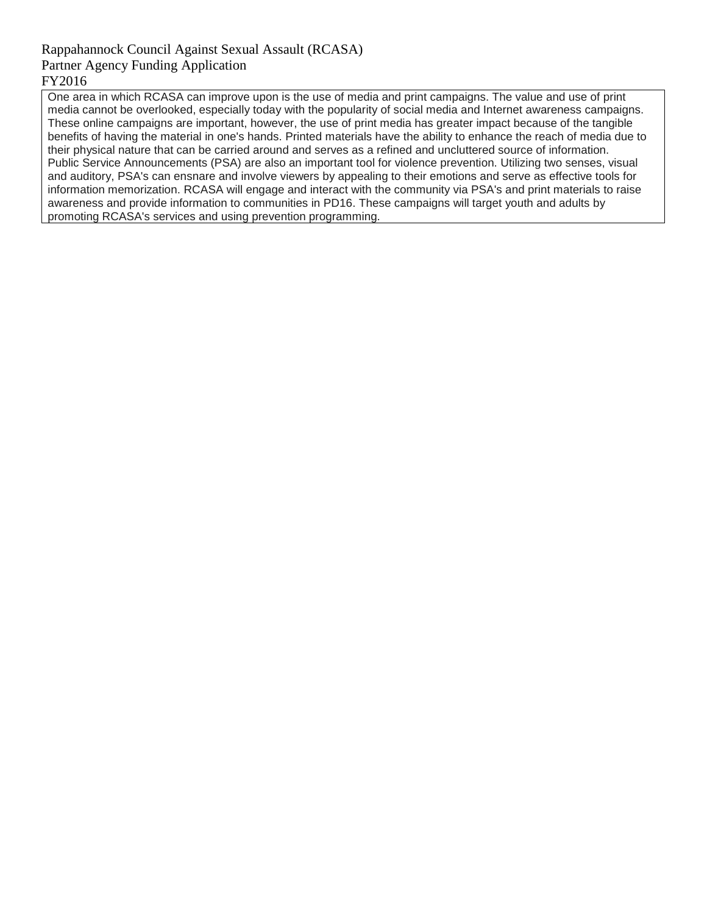One area in which RCASA can improve upon is the use of media and print campaigns. The value and use of print media cannot be overlooked, especially today with the popularity of social media and Internet awareness campaigns. These online campaigns are important, however, the use of print media has greater impact because of the tangible benefits of having the material in one's hands. Printed materials have the ability to enhance the reach of media due to their physical nature that can be carried around and serves as a refined and uncluttered source of information. Public Service Announcements (PSA) are also an important tool for violence prevention. Utilizing two senses, visual and auditory, PSA's can ensnare and involve viewers by appealing to their emotions and serve as effective tools for information memorization. RCASA will engage and interact with the community via PSA's and print materials to raise awareness and provide information to communities in PD16. These campaigns will target youth and adults by promoting RCASA's services and using prevention programming.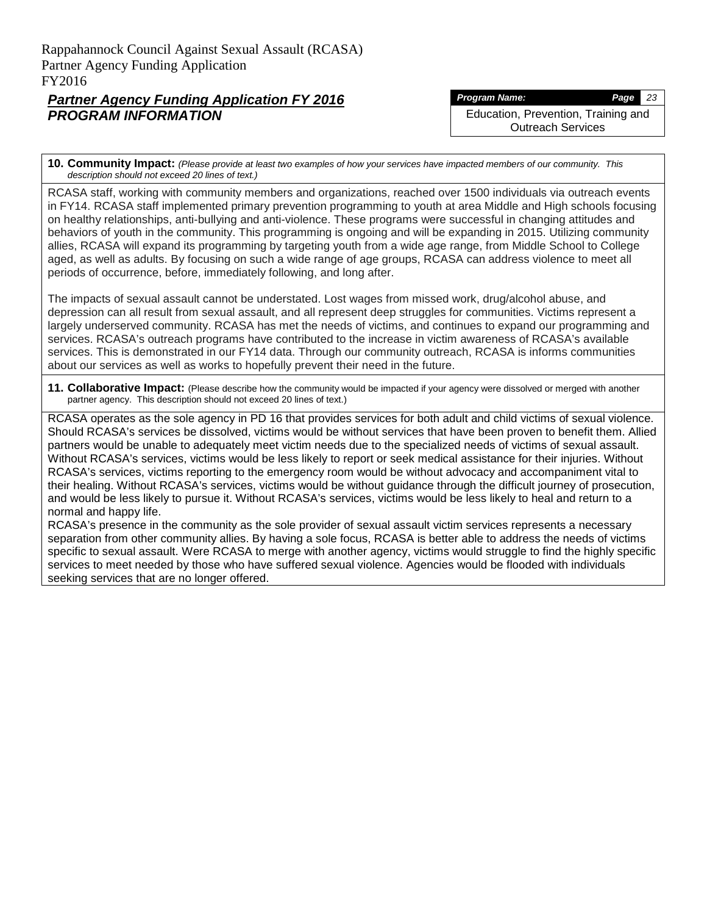*Program Name: Page 23*

Education, Prevention, Training and Outreach Services

**10. Community Impact:** *(Please provide at least two examples of how your services have impacted members of our community. This description should not exceed 20 lines of text.)*

RCASA staff, working with community members and organizations, reached over 1500 individuals via outreach events in FY14. RCASA staff implemented primary prevention programming to youth at area Middle and High schools focusing on healthy relationships, anti-bullying and anti-violence. These programs were successful in changing attitudes and behaviors of youth in the community. This programming is ongoing and will be expanding in 2015. Utilizing community allies, RCASA will expand its programming by targeting youth from a wide age range, from Middle School to College aged, as well as adults. By focusing on such a wide range of age groups, RCASA can address violence to meet all periods of occurrence, before, immediately following, and long after.

The impacts of sexual assault cannot be understated. Lost wages from missed work, drug/alcohol abuse, and depression can all result from sexual assault, and all represent deep struggles for communities. Victims represent a largely underserved community. RCASA has met the needs of victims, and continues to expand our programming and services. RCASA's outreach programs have contributed to the increase in victim awareness of RCASA's available services. This is demonstrated in our FY14 data. Through our community outreach, RCASA is informs communities about our services as well as works to hopefully prevent their need in the future.

**11. Collaborative Impact:** (Please describe how the community would be impacted if your agency were dissolved or merged with another partner agency. This description should not exceed 20 lines of text.)

RCASA operates as the sole agency in PD 16 that provides services for both adult and child victims of sexual violence. Should RCASA's services be dissolved, victims would be without services that have been proven to benefit them. Allied partners would be unable to adequately meet victim needs due to the specialized needs of victims of sexual assault. Without RCASA's services, victims would be less likely to report or seek medical assistance for their injuries. Without RCASA's services, victims reporting to the emergency room would be without advocacy and accompaniment vital to their healing. Without RCASA's services, victims would be without guidance through the difficult journey of prosecution, and would be less likely to pursue it. Without RCASA's services, victims would be less likely to heal and return to a normal and happy life.

RCASA's presence in the community as the sole provider of sexual assault victim services represents a necessary separation from other community allies. By having a sole focus, RCASA is better able to address the needs of victims specific to sexual assault. Were RCASA to merge with another agency, victims would struggle to find the highly specific services to meet needed by those who have suffered sexual violence. Agencies would be flooded with individuals seeking services that are no longer offered.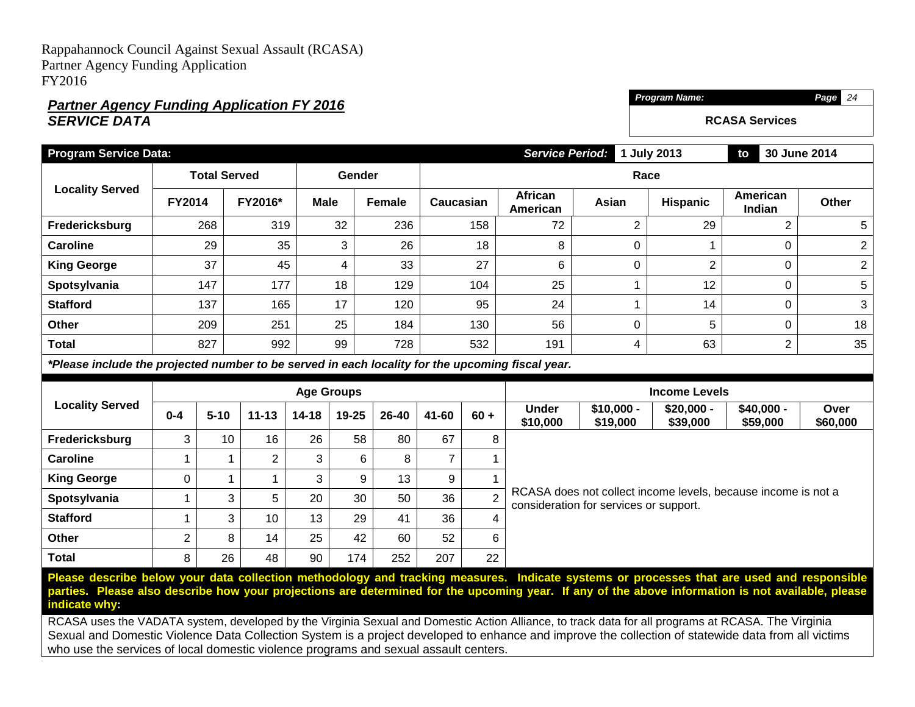## *Partner Agency Funding Application FY 2016 SERVICE DATA*

**Total** 8 26 48 90 174 252 207 22

**Program Service Data:** *Service Period:* **1 July 2013 to 30 June 2014 Locality Served Total Served Gender Race FY2014 FY2016\* Male Female Caucasian African American Asian Hispanic American Indian Other Fredericksburg** | 268 | 319 | 32 | 236 | 158 | 72 | 2 | 29 | 2 | 5 **Caroline** | 29 35 3 26 26 18 8 0 1 1 0 2 **King George | 37 | 45 | 4 | 33 | 27 | 6 | 0 | 2 | 0 | 2 Spotsylvania** | 147 | 177 | 18 | 129 | 104 | 25 | 1 | 12 | 0 | 5 **Stafford** | 137 | 165 | 17 | 120 | 95 | 24 | 1 | 14 | 0 | 3 **Other | 2**09 | 251 | 25 | 184 | 130 | 56 | 0 | 5 | 0 | 18 **Total | 8**27 | 992 | 99 | 728 | 532 | 191 | 4 | 63 | 2 | 35 *\*Please include the projected number to be served in each locality for the upcoming fiscal year.* **Locality Served Age Groups Income Levels 0-4 5-10 11-13 14-18 19-25 26-40 41-60 60 + Under \$10,000 \$10,000 - \$19,000 \$20,000 - \$39,000 \$40,000 - \$59,000 Over \$60,000 Fredericksburg** | 3 | 10 | 16 | 26 | 58 | 80 | 67 | 8 RCASA does not collect income levels, because income is not a consideration for services or support. **Caroline** | 1 | 1 | 2 | 3 | 6 | 8 | 7 | 1 **King George** 0 1 1 3 9 13 9 1 **Spotsylvania** | 1 3 5 20 30 50 36 2 **Stafford** 1 3 10 13 29 41 36 4 **Other** 2 8 14 25 42 60 52 6

*Program Name: Page 24*

**RCASA Services**

**Please describe below your data collection methodology and tracking measures. Indicate systems or processes that are used and responsible parties. Please also describe how your projections are determined for the upcoming year. If any of the above information is not available, please indicate why:**

RCASA uses the VADATA system, developed by the Virginia Sexual and Domestic Action Alliance, to track data for all programs at RCASA. The Virginia Sexual and Domestic Violence Data Collection System is a project developed to enhance and improve the collection of statewide data from all victims who use the services of local domestic violence programs and sexual assault centers.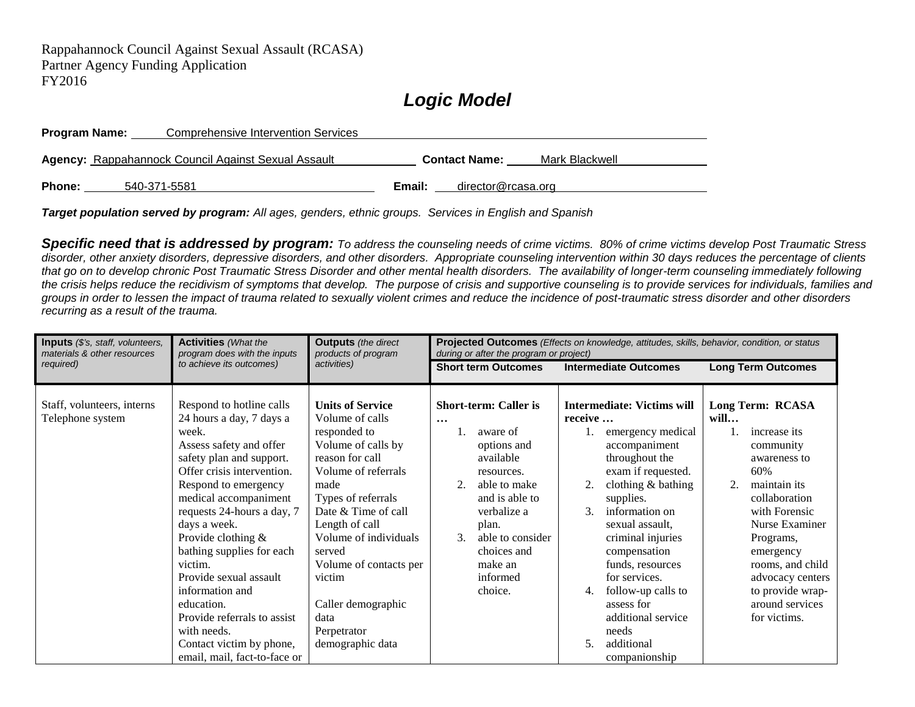# *Logic Model*

| Program Name: | Comprehensive Intervention Services                        |                      |                    |                |
|---------------|------------------------------------------------------------|----------------------|--------------------|----------------|
|               | <b>Agency: Rappahannock Council Against Sexual Assault</b> | <b>Contact Name:</b> |                    | Mark Blackwell |
| Phone:        | 540-371-5581                                               | Email:               | director@rcasa.org |                |

*Target population served by program: All ages, genders, ethnic groups. Services in English and Spanish*

*Specific need that is addressed by program: To address the counseling needs of crime victims. 80% of crime victims develop Post Traumatic Stress disorder, other anxiety disorders, depressive disorders, and other disorders. Appropriate counseling intervention within 30 days reduces the percentage of clients that go on to develop chronic Post Traumatic Stress Disorder and other mental health disorders. The availability of longer-term counseling immediately following the crisis helps reduce the recidivism of symptoms that develop. The purpose of crisis and supportive counseling is to provide services for individuals, families and groups in order to lessen the impact of trauma related to sexually violent crimes and reduce the incidence of post-traumatic stress disorder and other disorders recurring as a result of the trauma.* 

| Inputs (\$'s, staff, volunteers,<br>materials & other resources | <b>Activities</b> (What the<br>program does with the inputs                                                                                                                                                                                                                                                                                                                                                                                                                          | <b>Outputs</b> (the direct<br>products of program                                                                                                                                                                                                                                                                                         | Projected Outcomes (Effects on knowledge, attitudes, skills, behavior, condition, or status<br>during or after the program or project)                                                                                                         |                                                                                                                                                                                                                                                                                                                                                                                                             |                                                                                                                                                                                                                                                                                 |  |
|-----------------------------------------------------------------|--------------------------------------------------------------------------------------------------------------------------------------------------------------------------------------------------------------------------------------------------------------------------------------------------------------------------------------------------------------------------------------------------------------------------------------------------------------------------------------|-------------------------------------------------------------------------------------------------------------------------------------------------------------------------------------------------------------------------------------------------------------------------------------------------------------------------------------------|------------------------------------------------------------------------------------------------------------------------------------------------------------------------------------------------------------------------------------------------|-------------------------------------------------------------------------------------------------------------------------------------------------------------------------------------------------------------------------------------------------------------------------------------------------------------------------------------------------------------------------------------------------------------|---------------------------------------------------------------------------------------------------------------------------------------------------------------------------------------------------------------------------------------------------------------------------------|--|
| required)                                                       | to achieve its outcomes)                                                                                                                                                                                                                                                                                                                                                                                                                                                             | activities)                                                                                                                                                                                                                                                                                                                               | <b>Short term Outcomes</b>                                                                                                                                                                                                                     | <b>Intermediate Outcomes</b>                                                                                                                                                                                                                                                                                                                                                                                | <b>Long Term Outcomes</b>                                                                                                                                                                                                                                                       |  |
| Staff, volunteers, interns<br>Telephone system                  | Respond to hotline calls<br>24 hours a day, 7 days a<br>week.<br>Assess safety and offer<br>safety plan and support.<br>Offer crisis intervention.<br>Respond to emergency<br>medical accompaniment<br>requests 24-hours a day, 7<br>days a week.<br>Provide clothing &<br>bathing supplies for each<br>victim.<br>Provide sexual assault<br>information and<br>education.<br>Provide referrals to assist<br>with needs.<br>Contact victim by phone,<br>email, mail, fact-to-face or | <b>Units of Service</b><br>Volume of calls<br>responded to<br>Volume of calls by<br>reason for call<br>Volume of referrals<br>made<br>Types of referrals<br>Date & Time of call<br>Length of call<br>Volume of individuals<br>served<br>Volume of contacts per<br>victim<br>Caller demographic<br>data<br>Perpetrator<br>demographic data | <b>Short-term: Caller is</b><br>$\cdots$<br>aware of<br>options and<br>available<br>resources.<br>able to make<br>and is able to<br>verbalize a<br>plan.<br>$\mathcal{F}$<br>able to consider<br>choices and<br>make an<br>informed<br>choice. | <b>Intermediate: Victims will</b><br>receive<br>emergency medical<br>accompaniment<br>throughout the<br>exam if requested.<br>clothing & bathing<br>supplies.<br>information on<br>$\mathcal{F}$<br>sexual assault.<br>criminal injuries<br>compensation<br>funds, resources<br>for services.<br>follow-up calls to<br>4.<br>assess for<br>additional service<br>needs<br>additional<br>5.<br>companionship | Long Term: RCASA<br>will<br>increase its<br>community<br>awareness to<br>60%<br>2.<br>maintain its<br>collaboration<br>with Forensic<br>Nurse Examiner<br>Programs,<br>emergency<br>rooms, and child<br>advocacy centers<br>to provide wrap-<br>around services<br>for victims. |  |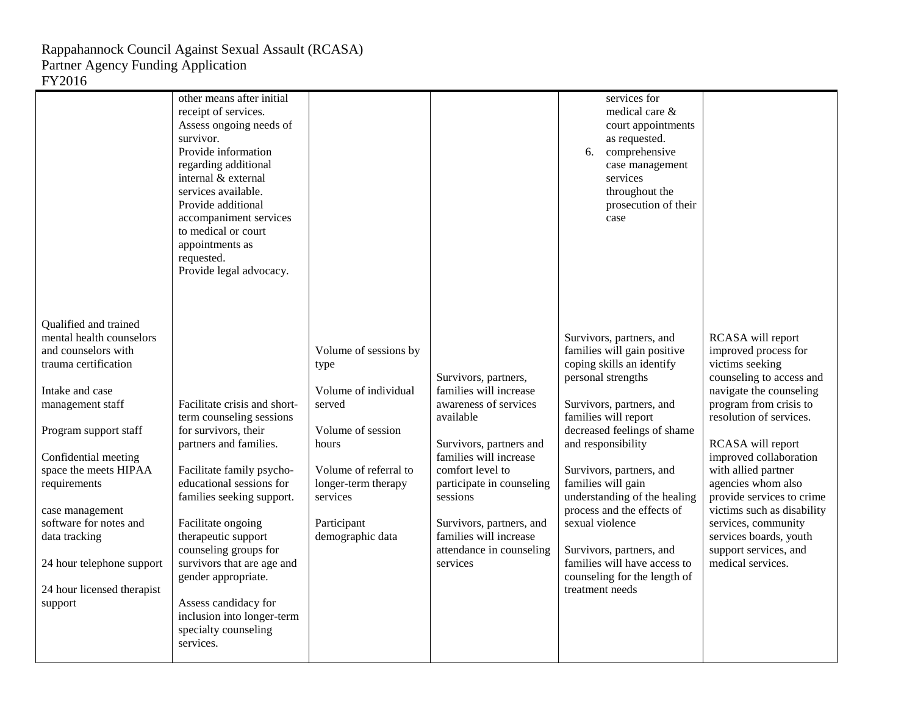|                                                                                                                                                                                                                                                                                                                                                                       | other means after initial<br>receipt of services.<br>Assess ongoing needs of<br>survivor.<br>Provide information<br>regarding additional<br>internal & external<br>services available.<br>Provide additional<br>accompaniment services<br>to medical or court<br>appointments as<br>requested.<br>Provide legal advocacy.                                                                                              |                                                                                                                                                                                              |                                                                                                                                                                                                                                                                                                      | services for<br>medical care &<br>court appointments<br>as requested.<br>6.<br>comprehensive<br>case management<br>services<br>throughout the<br>prosecution of their<br>case                                                                                                                                                                                                                                                                                         |                                                                                                                                                                                                                                                                                                                                                                                                                                |
|-----------------------------------------------------------------------------------------------------------------------------------------------------------------------------------------------------------------------------------------------------------------------------------------------------------------------------------------------------------------------|------------------------------------------------------------------------------------------------------------------------------------------------------------------------------------------------------------------------------------------------------------------------------------------------------------------------------------------------------------------------------------------------------------------------|----------------------------------------------------------------------------------------------------------------------------------------------------------------------------------------------|------------------------------------------------------------------------------------------------------------------------------------------------------------------------------------------------------------------------------------------------------------------------------------------------------|-----------------------------------------------------------------------------------------------------------------------------------------------------------------------------------------------------------------------------------------------------------------------------------------------------------------------------------------------------------------------------------------------------------------------------------------------------------------------|--------------------------------------------------------------------------------------------------------------------------------------------------------------------------------------------------------------------------------------------------------------------------------------------------------------------------------------------------------------------------------------------------------------------------------|
| Qualified and trained<br>mental health counselors<br>and counselors with<br>trauma certification<br>Intake and case<br>management staff<br>Program support staff<br>Confidential meeting<br>space the meets HIPAA<br>requirements<br>case management<br>software for notes and<br>data tracking<br>24 hour telephone support<br>24 hour licensed therapist<br>support | Facilitate crisis and short-<br>term counseling sessions<br>for survivors, their<br>partners and families.<br>Facilitate family psycho-<br>educational sessions for<br>families seeking support.<br>Facilitate ongoing<br>therapeutic support<br>counseling groups for<br>survivors that are age and<br>gender appropriate.<br>Assess candidacy for<br>inclusion into longer-term<br>specialty counseling<br>services. | Volume of sessions by<br>type<br>Volume of individual<br>served<br>Volume of session<br>hours<br>Volume of referral to<br>longer-term therapy<br>services<br>Participant<br>demographic data | Survivors, partners,<br>families will increase<br>awareness of services<br>available<br>Survivors, partners and<br>families will increase<br>comfort level to<br>participate in counseling<br>sessions<br>Survivors, partners, and<br>families will increase<br>attendance in counseling<br>services | Survivors, partners, and<br>families will gain positive<br>coping skills an identify<br>personal strengths<br>Survivors, partners, and<br>families will report<br>decreased feelings of shame<br>and responsibility<br>Survivors, partners, and<br>families will gain<br>understanding of the healing<br>process and the effects of<br>sexual violence<br>Survivors, partners, and<br>families will have access to<br>counseling for the length of<br>treatment needs | RCASA will report<br>improved process for<br>victims seeking<br>counseling to access and<br>navigate the counseling<br>program from crisis to<br>resolution of services.<br>RCASA will report<br>improved collaboration<br>with allied partner<br>agencies whom also<br>provide services to crime<br>victims such as disability<br>services, community<br>services boards, youth<br>support services, and<br>medical services. |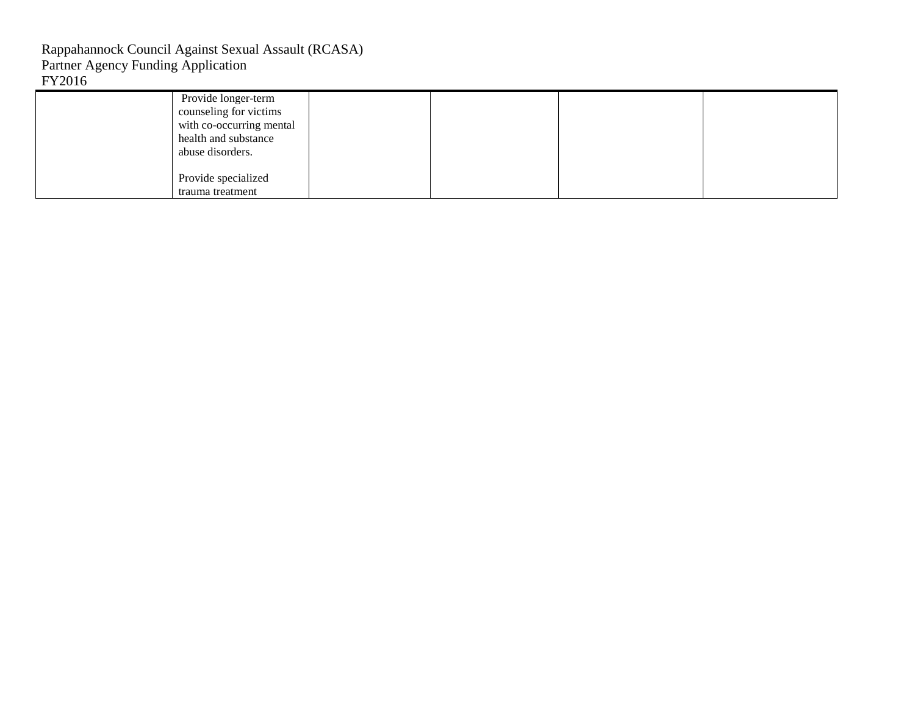| Provide longer-term<br>counseling for victims<br>with co-occurring mental<br>health and substance |  |  |
|---------------------------------------------------------------------------------------------------|--|--|
| abuse disorders.<br>Provide specialized<br>trauma treatment                                       |  |  |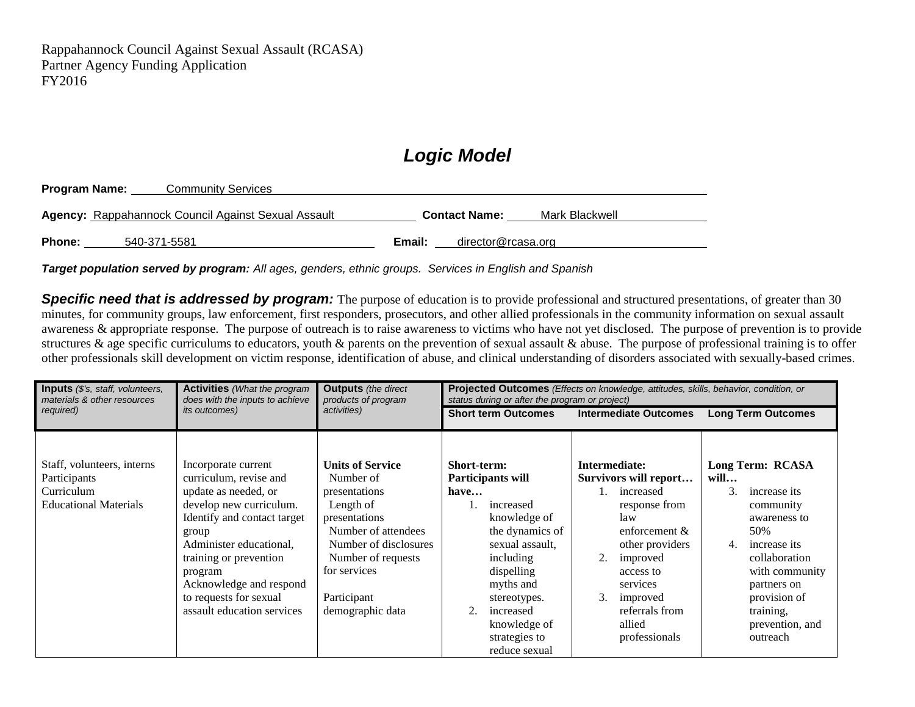# *Logic Model*

| Program Name: | <b>Community Services</b>                                  |                                        |
|---------------|------------------------------------------------------------|----------------------------------------|
|               | <b>Agency: Rappahannock Council Against Sexual Assault</b> | Mark Blackwell<br><b>Contact Name:</b> |
| <b>Phone:</b> | 540-371-5581                                               | director@rcasa.org<br>Email:           |

*Target population served by program: All ages, genders, ethnic groups. Services in English and Spanish*

**Specific need that is addressed by program:** The purpose of education is to provide professional and structured presentations, of greater than 30 minutes, for community groups, law enforcement, first responders, prosecutors, and other allied professionals in the community information on sexual assault awareness & appropriate response. The purpose of outreach is to raise awareness to victims who have not yet disclosed. The purpose of prevention is to provide structures & age specific curriculums to educators, youth & parents on the prevention of sexual assault & abuse. The purpose of professional training is to offer other professionals skill development on victim response, identification of abuse, and clinical understanding of disorders associated with sexually-based crimes.

| <b>Inputs</b> (\$'s, staff, volunteers,<br>materials & other resources                   | <b>Activities</b> (What the program<br>does with the inputs to achieve<br><i>its</i> outcomes)                                                                                                                                                                                              | <b>Outputs</b> (the direct<br>products of program<br>activities)                                                                                                                                             | <b>Projected Outcomes</b> (Effects on knowledge, attitudes, skills, behavior, condition, or<br>status during or after the program or project)                                                                                                  |                                                                                                                                                                                                                              |                                                                                                                                                                                                                        |  |
|------------------------------------------------------------------------------------------|---------------------------------------------------------------------------------------------------------------------------------------------------------------------------------------------------------------------------------------------------------------------------------------------|--------------------------------------------------------------------------------------------------------------------------------------------------------------------------------------------------------------|------------------------------------------------------------------------------------------------------------------------------------------------------------------------------------------------------------------------------------------------|------------------------------------------------------------------------------------------------------------------------------------------------------------------------------------------------------------------------------|------------------------------------------------------------------------------------------------------------------------------------------------------------------------------------------------------------------------|--|
| required)                                                                                |                                                                                                                                                                                                                                                                                             |                                                                                                                                                                                                              | <b>Short term Outcomes</b>                                                                                                                                                                                                                     | <b>Intermediate Outcomes</b>                                                                                                                                                                                                 | <b>Long Term Outcomes</b>                                                                                                                                                                                              |  |
| Staff, volunteers, interns<br>Participants<br>Curriculum<br><b>Educational Materials</b> | Incorporate current<br>curriculum, revise and<br>update as needed, or<br>develop new curriculum.<br>Identify and contact target<br>group<br>Administer educational,<br>training or prevention<br>program<br>Acknowledge and respond<br>to requests for sexual<br>assault education services | <b>Units of Service</b><br>Number of<br>presentations<br>Length of<br>presentations<br>Number of attendees<br>Number of disclosures<br>Number of requests<br>for services<br>Participant<br>demographic data | Short-term:<br>Participants will<br>have<br>increased<br>1.<br>knowledge of<br>the dynamics of<br>sexual assault,<br>including<br>dispelling<br>myths and<br>stereotypes.<br>increased<br>2.<br>knowledge of<br>strategies to<br>reduce sexual | Intermediate:<br>Survivors will report<br>increased<br>response from<br>law<br>enforcement $\&$<br>other providers<br>2.<br>improved<br>access to<br>services<br>3.<br>improved<br>referrals from<br>allied<br>professionals | Long Term: RCASA<br>will<br>3.<br>increase its<br>community<br>awareness to<br>50%<br>increase its<br>4.<br>collaboration<br>with community<br>partners on<br>provision of<br>training,<br>prevention, and<br>outreach |  |